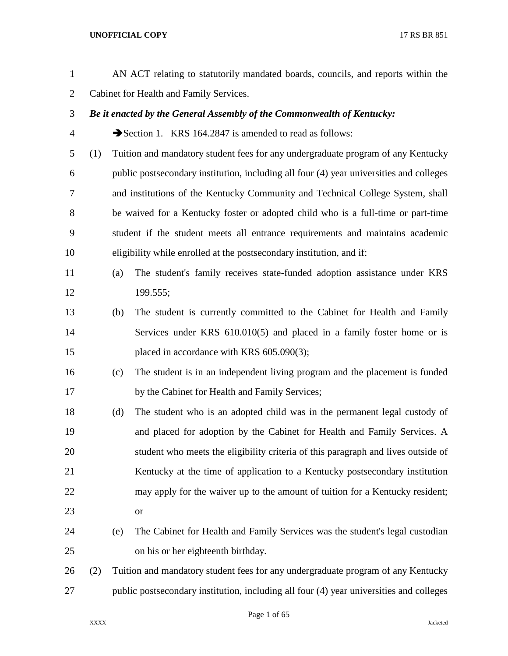| $\mathbf{1}$   |     |                                         | AN ACT relating to statutorily mandated boards, councils, and reports within the        |  |
|----------------|-----|-----------------------------------------|-----------------------------------------------------------------------------------------|--|
| $\overline{c}$ |     | Cabinet for Health and Family Services. |                                                                                         |  |
| 3              |     |                                         | Be it enacted by the General Assembly of the Commonwealth of Kentucky:                  |  |
| 4              |     |                                         | Section 1. KRS 164.2847 is amended to read as follows:                                  |  |
| 5              | (1) |                                         | Tuition and mandatory student fees for any undergraduate program of any Kentucky        |  |
| 6              |     |                                         | public postsecondary institution, including all four (4) year universities and colleges |  |
| 7              |     |                                         | and institutions of the Kentucky Community and Technical College System, shall          |  |
| 8              |     |                                         | be waived for a Kentucky foster or adopted child who is a full-time or part-time        |  |
| 9              |     |                                         | student if the student meets all entrance requirements and maintains academic           |  |
| 10             |     |                                         | eligibility while enrolled at the postsecondary institution, and if:                    |  |
| 11             |     | (a)                                     | The student's family receives state-funded adoption assistance under KRS                |  |
| 12             |     |                                         | 199.555;                                                                                |  |
| 13             |     | (b)                                     | The student is currently committed to the Cabinet for Health and Family                 |  |
| 14             |     |                                         | Services under KRS 610.010(5) and placed in a family foster home or is                  |  |
| 15             |     |                                         | placed in accordance with KRS 605.090(3);                                               |  |
| 16             |     | (c)                                     | The student is in an independent living program and the placement is funded             |  |
| 17             |     |                                         | by the Cabinet for Health and Family Services;                                          |  |
| 18             |     | (d)                                     | The student who is an adopted child was in the permanent legal custody of               |  |
| 19             |     |                                         | and placed for adoption by the Cabinet for Health and Family Services. A                |  |
| 20             |     |                                         | student who meets the eligibility criteria of this paragraph and lives outside of       |  |
| 21             |     |                                         | Kentucky at the time of application to a Kentucky postsecondary institution             |  |
| 22             |     |                                         | may apply for the waiver up to the amount of tuition for a Kentucky resident;           |  |
| 23             |     |                                         | <b>or</b>                                                                               |  |
| 24             |     | (e)                                     | The Cabinet for Health and Family Services was the student's legal custodian            |  |
| 25             |     |                                         | on his or her eighteenth birthday.                                                      |  |
| 26             | (2) |                                         | Tuition and mandatory student fees for any undergraduate program of any Kentucky        |  |
| 27             |     |                                         | public postsecondary institution, including all four (4) year universities and colleges |  |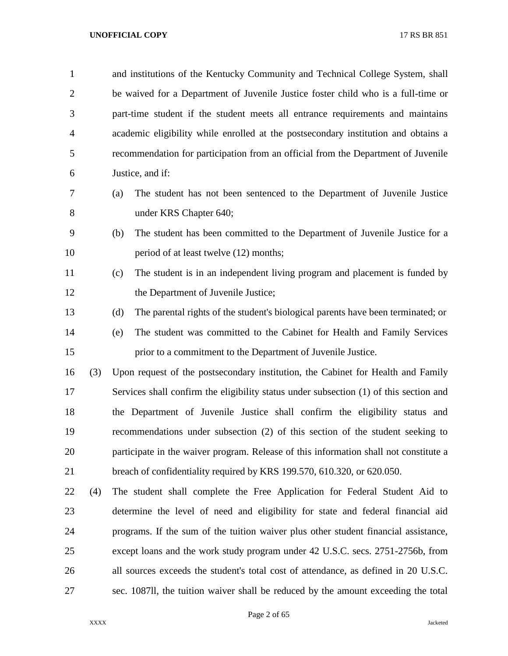| $\mathbf{1}$   |     | and institutions of the Kentucky Community and Technical College System, shall          |
|----------------|-----|-----------------------------------------------------------------------------------------|
| $\overline{2}$ |     | be waived for a Department of Juvenile Justice foster child who is a full-time or       |
| 3              |     | part-time student if the student meets all entrance requirements and maintains          |
| $\overline{4}$ |     | academic eligibility while enrolled at the postsecondary institution and obtains a      |
| 5              |     | recommendation for participation from an official from the Department of Juvenile       |
| 6              |     | Justice, and if:                                                                        |
| 7              |     | The student has not been sentenced to the Department of Juvenile Justice<br>(a)         |
| 8              |     | under KRS Chapter 640;                                                                  |
| 9              |     | The student has been committed to the Department of Juvenile Justice for a<br>(b)       |
| 10             |     | period of at least twelve (12) months;                                                  |
| 11             |     | The student is in an independent living program and placement is funded by<br>(c)       |
| 12             |     | the Department of Juvenile Justice;                                                     |
| 13             |     | (d)<br>The parental rights of the student's biological parents have been terminated; or |
| 14             |     | The student was committed to the Cabinet for Health and Family Services<br>(e)          |
| 15             |     | prior to a commitment to the Department of Juvenile Justice.                            |
| 16             | (3) | Upon request of the postsecondary institution, the Cabinet for Health and Family        |
| 17             |     | Services shall confirm the eligibility status under subsection (1) of this section and  |
| 18             |     | the Department of Juvenile Justice shall confirm the eligibility status and             |
| 19             |     | recommendations under subsection (2) of this section of the student seeking to          |
| 20             |     | participate in the waiver program. Release of this information shall not constitute a   |
| 21             |     | breach of confidentiality required by KRS 199.570, 610.320, or 620.050.                 |
| 22             | (4) | The student shall complete the Free Application for Federal Student Aid to              |
| 23             |     | determine the level of need and eligibility for state and federal financial aid         |
| 24             |     | programs. If the sum of the tuition waiver plus other student financial assistance,     |
| 25             |     | except loans and the work study program under 42 U.S.C. secs. 2751-2756b, from          |
| 26             |     | all sources exceeds the student's total cost of attendance, as defined in 20 U.S.C.     |
| 27             |     | sec. 1087II, the tuition waiver shall be reduced by the amount exceeding the total      |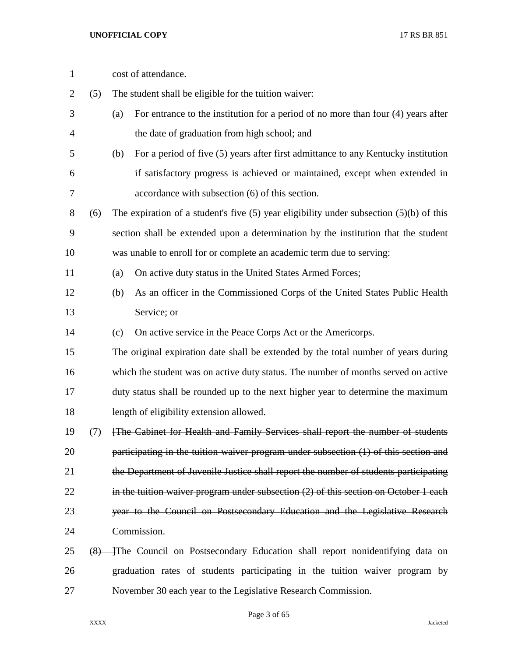| $\mathbf{1}$ |     | cost of attendance.                                                                         |
|--------------|-----|---------------------------------------------------------------------------------------------|
| 2            | (5) | The student shall be eligible for the tuition waiver:                                       |
| 3            |     | For entrance to the institution for a period of no more than four (4) years after<br>(a)    |
| 4            |     | the date of graduation from high school; and                                                |
| 5            |     | For a period of five (5) years after first admittance to any Kentucky institution<br>(b)    |
| 6            |     | if satisfactory progress is achieved or maintained, except when extended in                 |
| 7            |     | accordance with subsection (6) of this section.                                             |
| 8            | (6) | The expiration of a student's five $(5)$ year eligibility under subsection $(5)(b)$ of this |
| 9            |     | section shall be extended upon a determination by the institution that the student          |
| 10           |     | was unable to enroll for or complete an academic term due to serving:                       |
| 11           |     | On active duty status in the United States Armed Forces;<br>(a)                             |
| 12           |     | As an officer in the Commissioned Corps of the United States Public Health<br>(b)           |
| 13           |     | Service; or                                                                                 |
| 14           |     | On active service in the Peace Corps Act or the Americorps.<br>(c)                          |
| 15           |     | The original expiration date shall be extended by the total number of years during          |
| 16           |     | which the student was on active duty status. The number of months served on active          |
| 17           |     | duty status shall be rounded up to the next higher year to determine the maximum            |
| 18           |     | length of eligibility extension allowed.                                                    |
| 19           | (7) | [The Cabinet for Health and Family Services shall report the number of students             |
| 20           |     | participating in the tuition waiver program under subsection (1) of this section and        |
| 21           |     | the Department of Juvenile Justice shall report the number of students participating        |
| 22           |     | in the tuition waiver program under subsection $(2)$ of this section on October 1 each      |
| 23           |     | year to the Council on Postsecondary Education and the Legislative Research                 |
| 24           |     | Commission.                                                                                 |
| 25           |     | (8) The Council on Postsecondary Education shall report nonidentifying data on              |
| 26           |     | graduation rates of students participating in the tuition waiver program by                 |
| 27           |     | November 30 each year to the Legislative Research Commission.                               |

Page 3 of 65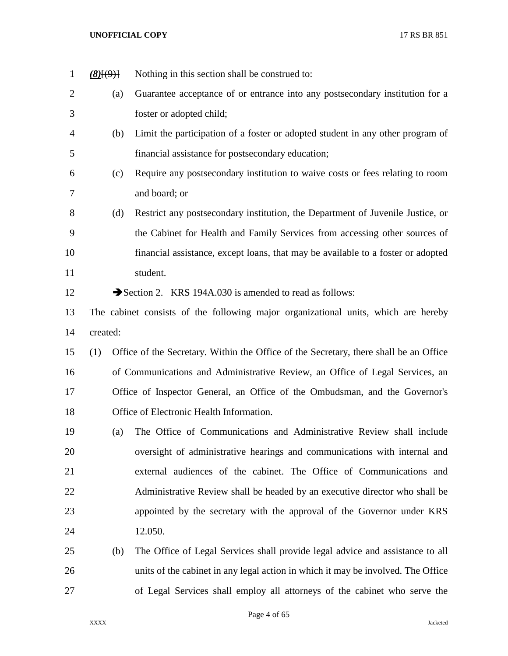| $\mathbf{1}$   | (8)(9)   | Nothing in this section shall be construed to:                                        |
|----------------|----------|---------------------------------------------------------------------------------------|
| $\overline{2}$ | (a)      | Guarantee acceptance of or entrance into any postsecondary institution for a          |
| 3              |          | foster or adopted child;                                                              |
| 4              | (b)      | Limit the participation of a foster or adopted student in any other program of        |
| 5              |          | financial assistance for postsecondary education;                                     |
| 6              | (c)      | Require any postsecondary institution to waive costs or fees relating to room         |
| 7              |          | and board; or                                                                         |
| 8              | (d)      | Restrict any postsecondary institution, the Department of Juvenile Justice, or        |
| 9              |          | the Cabinet for Health and Family Services from accessing other sources of            |
| 10             |          | financial assistance, except loans, that may be available to a foster or adopted      |
| 11             |          | student.                                                                              |
| 12             |          | Section 2. KRS 194A.030 is amended to read as follows:                                |
| 13             |          | The cabinet consists of the following major organizational units, which are hereby    |
| 14             | created: |                                                                                       |
| 15             | (1)      | Office of the Secretary. Within the Office of the Secretary, there shall be an Office |
| 16             |          | of Communications and Administrative Review, an Office of Legal Services, an          |
| 17             |          | Office of Inspector General, an Office of the Ombudsman, and the Governor's           |
| 18             |          | Office of Electronic Health Information.                                              |
| 19             | (a)      | The Office of Communications and Administrative Review shall include                  |
| 20             |          | oversight of administrative hearings and communications with internal and             |
| 21             |          | external audiences of the cabinet. The Office of Communications and                   |
| 22             |          | Administrative Review shall be headed by an executive director who shall be           |
| 23             |          | appointed by the secretary with the approval of the Governor under KRS                |
| 24             |          | 12.050.                                                                               |
| 25             | (b)      | The Office of Legal Services shall provide legal advice and assistance to all         |
| 26             |          | units of the cabinet in any legal action in which it may be involved. The Office      |
| 27             |          | of Legal Services shall employ all attorneys of the cabinet who serve the             |

Page 4 of 65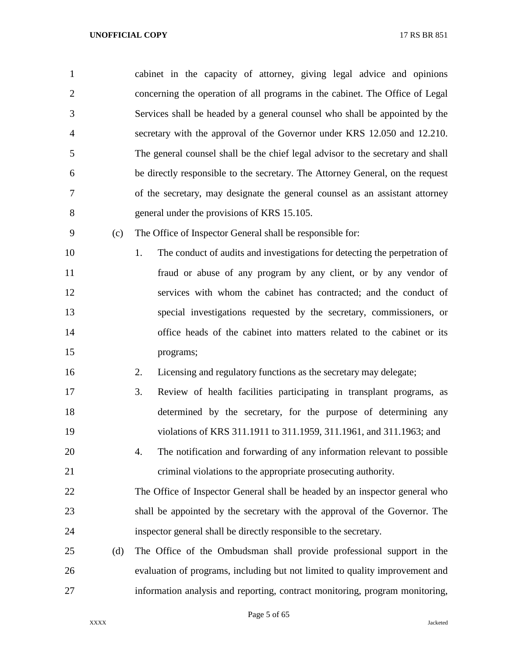cabinet in the capacity of attorney, giving legal advice and opinions concerning the operation of all programs in the cabinet. The Office of Legal Services shall be headed by a general counsel who shall be appointed by the secretary with the approval of the Governor under KRS 12.050 and 12.210. The general counsel shall be the chief legal advisor to the secretary and shall be directly responsible to the secretary. The Attorney General, on the request of the secretary, may designate the general counsel as an assistant attorney general under the provisions of KRS 15.105.

(c) The Office of Inspector General shall be responsible for:

10 1. The conduct of audits and investigations for detecting the perpetration of fraud or abuse of any program by any client, or by any vendor of services with whom the cabinet has contracted; and the conduct of special investigations requested by the secretary, commissioners, or office heads of the cabinet into matters related to the cabinet or its programs;

- 2. Licensing and regulatory functions as the secretary may delegate;
- 3. Review of health facilities participating in transplant programs, as determined by the secretary, for the purpose of determining any violations of KRS 311.1911 to 311.1959, 311.1961, and 311.1963; and
- 4. The notification and forwarding of any information relevant to possible criminal violations to the appropriate prosecuting authority.
- The Office of Inspector General shall be headed by an inspector general who shall be appointed by the secretary with the approval of the Governor. The inspector general shall be directly responsible to the secretary.
- (d) The Office of the Ombudsman shall provide professional support in the evaluation of programs, including but not limited to quality improvement and information analysis and reporting, contract monitoring, program monitoring,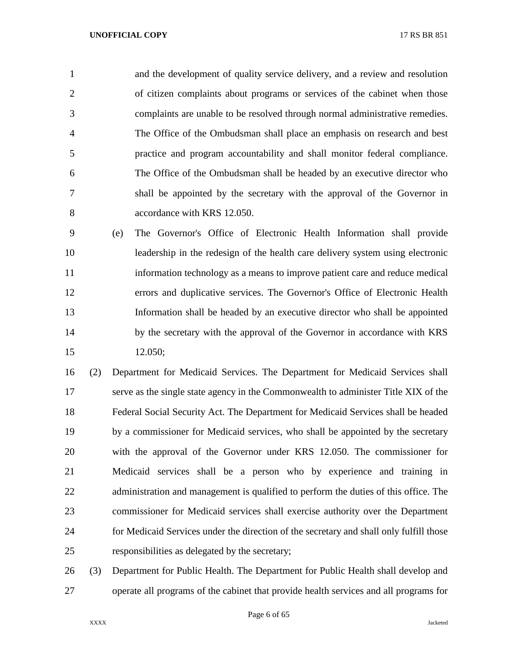and the development of quality service delivery, and a review and resolution of citizen complaints about programs or services of the cabinet when those complaints are unable to be resolved through normal administrative remedies. The Office of the Ombudsman shall place an emphasis on research and best practice and program accountability and shall monitor federal compliance. The Office of the Ombudsman shall be headed by an executive director who shall be appointed by the secretary with the approval of the Governor in accordance with KRS 12.050.

 (e) The Governor's Office of Electronic Health Information shall provide leadership in the redesign of the health care delivery system using electronic information technology as a means to improve patient care and reduce medical errors and duplicative services. The Governor's Office of Electronic Health Information shall be headed by an executive director who shall be appointed 14 by the secretary with the approval of the Governor in accordance with KRS 12.050;

 (2) Department for Medicaid Services. The Department for Medicaid Services shall serve as the single state agency in the Commonwealth to administer Title XIX of the Federal Social Security Act. The Department for Medicaid Services shall be headed by a commissioner for Medicaid services, who shall be appointed by the secretary with the approval of the Governor under KRS 12.050. The commissioner for Medicaid services shall be a person who by experience and training in 22 administration and management is qualified to perform the duties of this office. The commissioner for Medicaid services shall exercise authority over the Department for Medicaid Services under the direction of the secretary and shall only fulfill those responsibilities as delegated by the secretary;

 (3) Department for Public Health. The Department for Public Health shall develop and operate all programs of the cabinet that provide health services and all programs for

Page 6 of 65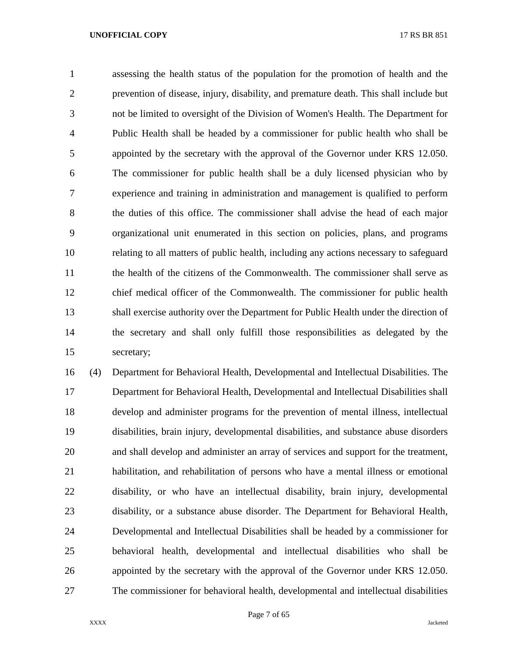assessing the health status of the population for the promotion of health and the prevention of disease, injury, disability, and premature death. This shall include but not be limited to oversight of the Division of Women's Health. The Department for Public Health shall be headed by a commissioner for public health who shall be appointed by the secretary with the approval of the Governor under KRS 12.050. The commissioner for public health shall be a duly licensed physician who by experience and training in administration and management is qualified to perform the duties of this office. The commissioner shall advise the head of each major organizational unit enumerated in this section on policies, plans, and programs relating to all matters of public health, including any actions necessary to safeguard the health of the citizens of the Commonwealth. The commissioner shall serve as chief medical officer of the Commonwealth. The commissioner for public health shall exercise authority over the Department for Public Health under the direction of the secretary and shall only fulfill those responsibilities as delegated by the secretary;

 (4) Department for Behavioral Health, Developmental and Intellectual Disabilities. The Department for Behavioral Health, Developmental and Intellectual Disabilities shall develop and administer programs for the prevention of mental illness, intellectual disabilities, brain injury, developmental disabilities, and substance abuse disorders and shall develop and administer an array of services and support for the treatment, habilitation, and rehabilitation of persons who have a mental illness or emotional disability, or who have an intellectual disability, brain injury, developmental disability, or a substance abuse disorder. The Department for Behavioral Health, Developmental and Intellectual Disabilities shall be headed by a commissioner for behavioral health, developmental and intellectual disabilities who shall be appointed by the secretary with the approval of the Governor under KRS 12.050. The commissioner for behavioral health, developmental and intellectual disabilities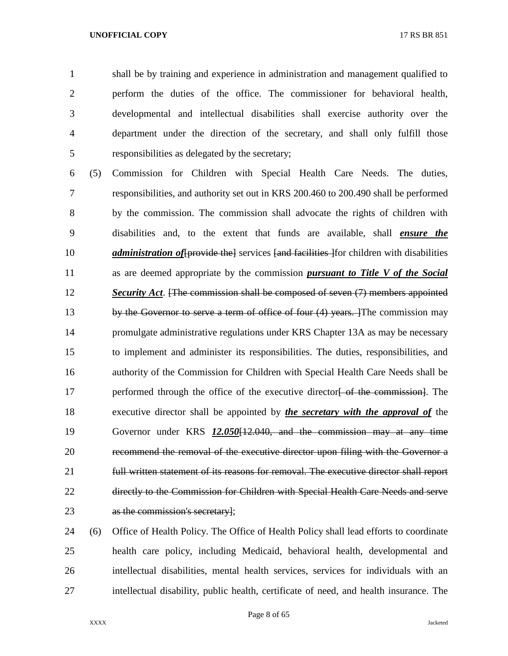shall be by training and experience in administration and management qualified to perform the duties of the office. The commissioner for behavioral health, developmental and intellectual disabilities shall exercise authority over the department under the direction of the secretary, and shall only fulfill those responsibilities as delegated by the secretary;

 (5) Commission for Children with Special Health Care Needs. The duties, responsibilities, and authority set out in KRS 200.460 to 200.490 shall be performed by the commission. The commission shall advocate the rights of children with disabilities and, to the extent that funds are available, shall *ensure the administration of* [provide the] services [and facilities ] for children with disabilities as are deemed appropriate by the commission *pursuant to Title V of the Social Security Act*. [The commission shall be composed of seven (7) members appointed 13 by the Governor to serve a term of office of four (4) years. The commission may promulgate administrative regulations under KRS Chapter 13A as may be necessary to implement and administer its responsibilities. The duties, responsibilities, and authority of the Commission for Children with Special Health Care Needs shall be 17 performed through the office of the executive director of the commission. The executive director shall be appointed by *the secretary with the approval of* the Governor under KRS *12.050*[12.040, and the commission may at any time recommend the removal of the executive director upon filing with the Governor a full written statement of its reasons for removal. The executive director shall report directly to the Commission for Children with Special Health Care Needs and serve as the commission's secretary];

 (6) Office of Health Policy. The Office of Health Policy shall lead efforts to coordinate health care policy, including Medicaid, behavioral health, developmental and intellectual disabilities, mental health services, services for individuals with an intellectual disability, public health, certificate of need, and health insurance. The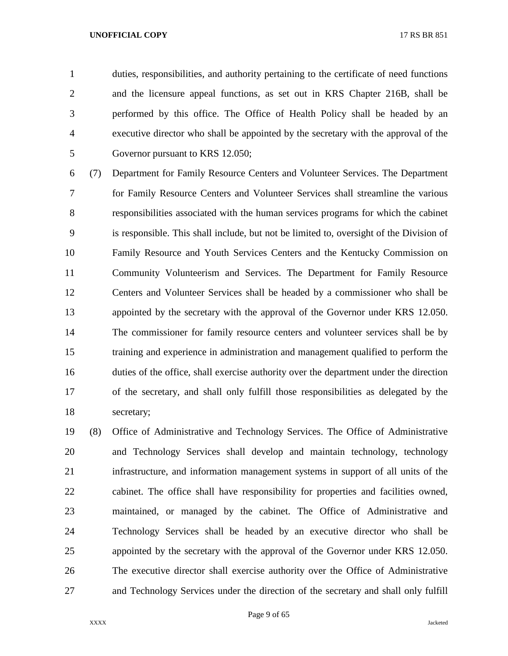duties, responsibilities, and authority pertaining to the certificate of need functions and the licensure appeal functions, as set out in KRS Chapter 216B, shall be performed by this office. The Office of Health Policy shall be headed by an executive director who shall be appointed by the secretary with the approval of the Governor pursuant to KRS 12.050;

 (7) Department for Family Resource Centers and Volunteer Services. The Department for Family Resource Centers and Volunteer Services shall streamline the various responsibilities associated with the human services programs for which the cabinet is responsible. This shall include, but not be limited to, oversight of the Division of Family Resource and Youth Services Centers and the Kentucky Commission on Community Volunteerism and Services. The Department for Family Resource Centers and Volunteer Services shall be headed by a commissioner who shall be appointed by the secretary with the approval of the Governor under KRS 12.050. The commissioner for family resource centers and volunteer services shall be by training and experience in administration and management qualified to perform the duties of the office, shall exercise authority over the department under the direction of the secretary, and shall only fulfill those responsibilities as delegated by the secretary;

 (8) Office of Administrative and Technology Services. The Office of Administrative and Technology Services shall develop and maintain technology, technology infrastructure, and information management systems in support of all units of the cabinet. The office shall have responsibility for properties and facilities owned, maintained, or managed by the cabinet. The Office of Administrative and Technology Services shall be headed by an executive director who shall be appointed by the secretary with the approval of the Governor under KRS 12.050. The executive director shall exercise authority over the Office of Administrative and Technology Services under the direction of the secretary and shall only fulfill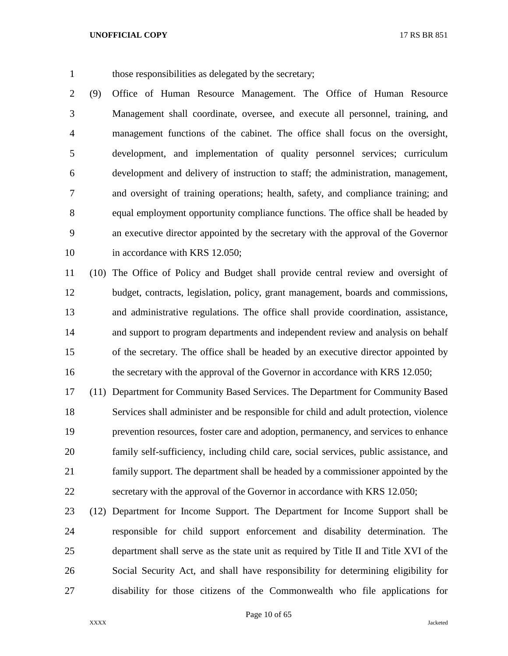those responsibilities as delegated by the secretary;

 (9) Office of Human Resource Management. The Office of Human Resource Management shall coordinate, oversee, and execute all personnel, training, and management functions of the cabinet. The office shall focus on the oversight, development, and implementation of quality personnel services; curriculum development and delivery of instruction to staff; the administration, management, and oversight of training operations; health, safety, and compliance training; and equal employment opportunity compliance functions. The office shall be headed by an executive director appointed by the secretary with the approval of the Governor 10 in accordance with KRS 12.050;

 (10) The Office of Policy and Budget shall provide central review and oversight of budget, contracts, legislation, policy, grant management, boards and commissions, and administrative regulations. The office shall provide coordination, assistance, and support to program departments and independent review and analysis on behalf of the secretary. The office shall be headed by an executive director appointed by 16 the secretary with the approval of the Governor in accordance with KRS 12.050;

 (11) Department for Community Based Services. The Department for Community Based Services shall administer and be responsible for child and adult protection, violence prevention resources, foster care and adoption, permanency, and services to enhance family self-sufficiency, including child care, social services, public assistance, and family support. The department shall be headed by a commissioner appointed by the secretary with the approval of the Governor in accordance with KRS 12.050;

 (12) Department for Income Support. The Department for Income Support shall be responsible for child support enforcement and disability determination. The department shall serve as the state unit as required by Title II and Title XVI of the Social Security Act, and shall have responsibility for determining eligibility for disability for those citizens of the Commonwealth who file applications for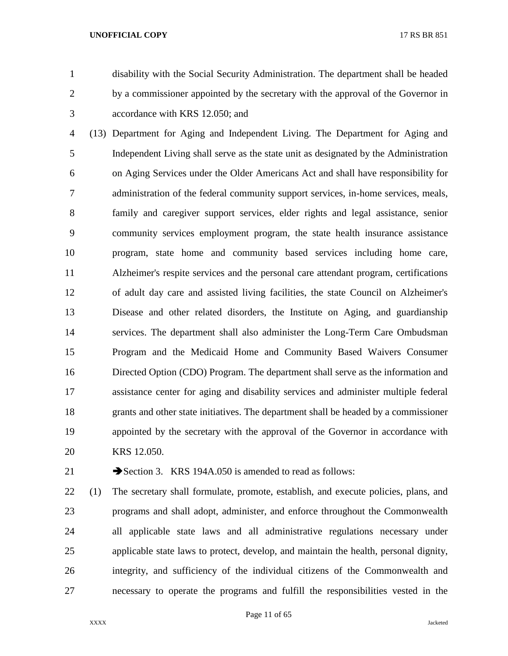disability with the Social Security Administration. The department shall be headed by a commissioner appointed by the secretary with the approval of the Governor in accordance with KRS 12.050; and

 (13) Department for Aging and Independent Living. The Department for Aging and Independent Living shall serve as the state unit as designated by the Administration on Aging Services under the Older Americans Act and shall have responsibility for administration of the federal community support services, in-home services, meals, family and caregiver support services, elder rights and legal assistance, senior community services employment program, the state health insurance assistance program, state home and community based services including home care, Alzheimer's respite services and the personal care attendant program, certifications of adult day care and assisted living facilities, the state Council on Alzheimer's Disease and other related disorders, the Institute on Aging, and guardianship services. The department shall also administer the Long-Term Care Ombudsman Program and the Medicaid Home and Community Based Waivers Consumer Directed Option (CDO) Program. The department shall serve as the information and assistance center for aging and disability services and administer multiple federal grants and other state initiatives. The department shall be headed by a commissioner appointed by the secretary with the approval of the Governor in accordance with KRS 12.050.

21 Section 3. KRS 194A.050 is amended to read as follows:

 (1) The secretary shall formulate, promote, establish, and execute policies, plans, and programs and shall adopt, administer, and enforce throughout the Commonwealth all applicable state laws and all administrative regulations necessary under applicable state laws to protect, develop, and maintain the health, personal dignity, integrity, and sufficiency of the individual citizens of the Commonwealth and necessary to operate the programs and fulfill the responsibilities vested in the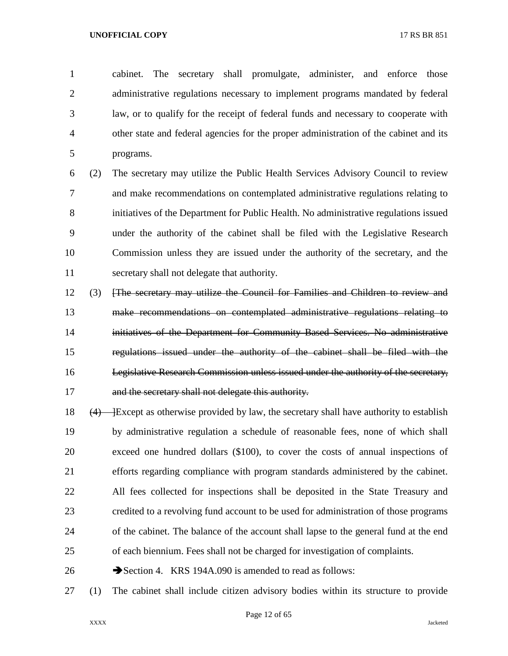cabinet. The secretary shall promulgate, administer, and enforce those administrative regulations necessary to implement programs mandated by federal law, or to qualify for the receipt of federal funds and necessary to cooperate with other state and federal agencies for the proper administration of the cabinet and its programs.

 (2) The secretary may utilize the Public Health Services Advisory Council to review and make recommendations on contemplated administrative regulations relating to initiatives of the Department for Public Health. No administrative regulations issued under the authority of the cabinet shall be filed with the Legislative Research Commission unless they are issued under the authority of the secretary, and the secretary shall not delegate that authority.

- (3) [The secretary may utilize the Council for Families and Children to review and make recommendations on contemplated administrative regulations relating to initiatives of the Department for Community Based Services. No administrative regulations issued under the authority of the cabinet shall be filed with the Legislative Research Commission unless issued under the authority of the secretary, 17 and the secretary shall not delegate this authority.
- 18  $(4)$  Except as otherwise provided by law, the secretary shall have authority to establish by administrative regulation a schedule of reasonable fees, none of which shall exceed one hundred dollars (\$100), to cover the costs of annual inspections of efforts regarding compliance with program standards administered by the cabinet. All fees collected for inspections shall be deposited in the State Treasury and credited to a revolving fund account to be used for administration of those programs of the cabinet. The balance of the account shall lapse to the general fund at the end of each biennium. Fees shall not be charged for investigation of complaints.
- 26 Section 4. KRS 194A.090 is amended to read as follows:
- (1) The cabinet shall include citizen advisory bodies within its structure to provide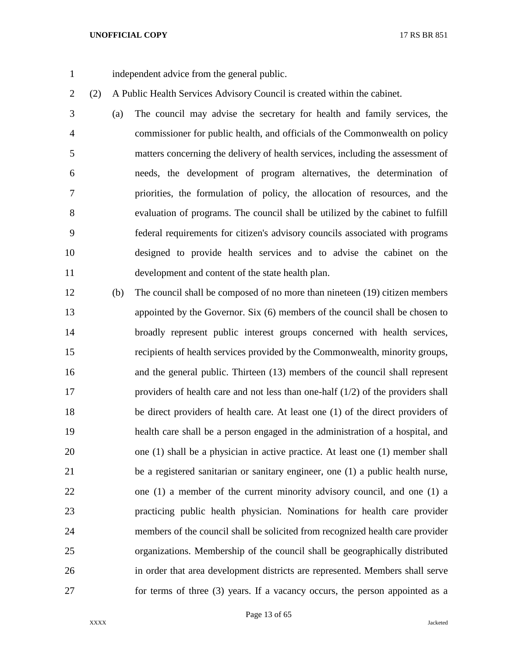independent advice from the general public.

(2) A Public Health Services Advisory Council is created within the cabinet.

 (a) The council may advise the secretary for health and family services, the commissioner for public health, and officials of the Commonwealth on policy matters concerning the delivery of health services, including the assessment of needs, the development of program alternatives, the determination of priorities, the formulation of policy, the allocation of resources, and the evaluation of programs. The council shall be utilized by the cabinet to fulfill federal requirements for citizen's advisory councils associated with programs designed to provide health services and to advise the cabinet on the development and content of the state health plan.

 (b) The council shall be composed of no more than nineteen (19) citizen members appointed by the Governor. Six (6) members of the council shall be chosen to broadly represent public interest groups concerned with health services, recipients of health services provided by the Commonwealth, minority groups, and the general public. Thirteen (13) members of the council shall represent providers of health care and not less than one-half (1/2) of the providers shall be direct providers of health care. At least one (1) of the direct providers of health care shall be a person engaged in the administration of a hospital, and one (1) shall be a physician in active practice. At least one (1) member shall be a registered sanitarian or sanitary engineer, one (1) a public health nurse, one (1) a member of the current minority advisory council, and one (1) a practicing public health physician. Nominations for health care provider members of the council shall be solicited from recognized health care provider organizations. Membership of the council shall be geographically distributed in order that area development districts are represented. Members shall serve for terms of three (3) years. If a vacancy occurs, the person appointed as a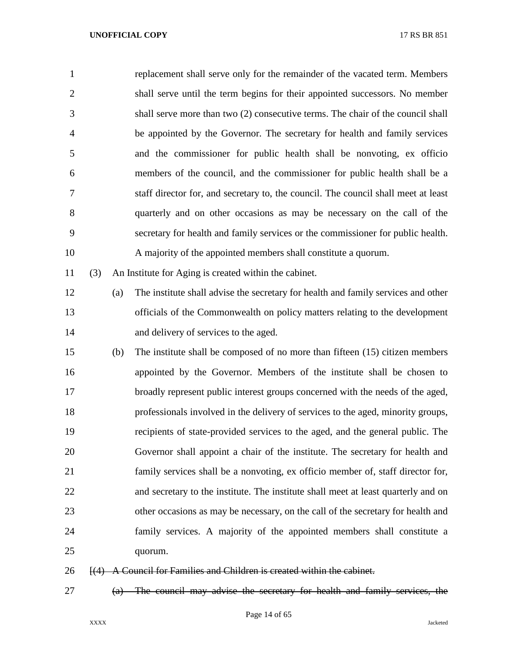| $\mathbf{1}$   |     |     | replacement shall serve only for the remainder of the vacated term. Members        |
|----------------|-----|-----|------------------------------------------------------------------------------------|
| $\overline{2}$ |     |     | shall serve until the term begins for their appointed successors. No member        |
| 3              |     |     | shall serve more than two (2) consecutive terms. The chair of the council shall    |
| $\overline{4}$ |     |     | be appointed by the Governor. The secretary for health and family services         |
| 5              |     |     | and the commissioner for public health shall be nonvoting, ex officion             |
| 6              |     |     | members of the council, and the commissioner for public health shall be a          |
| 7              |     |     | staff director for, and secretary to, the council. The council shall meet at least |
| 8              |     |     | quarterly and on other occasions as may be necessary on the call of the            |
| 9              |     |     | secretary for health and family services or the commissioner for public health.    |
| 10             |     |     | A majority of the appointed members shall constitute a quorum.                     |
| 11             | (3) |     | An Institute for Aging is created within the cabinet.                              |
| 12             |     | (a) | The institute shall advise the secretary for health and family services and other  |
| 13             |     |     | officials of the Commonwealth on policy matters relating to the development        |
| 14             |     |     | and delivery of services to the aged.                                              |
| 15             |     | (b) | The institute shall be composed of no more than fifteen (15) citizen members       |
| 16             |     |     | appointed by the Governor. Members of the institute shall be chosen to             |
| 17             |     |     | broadly represent public interest groups concerned with the needs of the aged,     |
| 18             |     |     | professionals involved in the delivery of services to the aged, minority groups,   |
| 19             |     |     | recipients of state-provided services to the aged, and the general public. The     |
| 20             |     |     | Governor shall appoint a chair of the institute. The secretary for health and      |
| 21             |     |     | family services shall be a nonvoting, ex officio member of, staff director for,    |
| 22             |     |     | and secretary to the institute. The institute shall meet at least quarterly and on |
| 23             |     |     | other occasions as may be necessary, on the call of the secretary for health and   |
| 24             |     |     | family services. A majority of the appointed members shall constitute a            |
| 25             |     |     | quorum.                                                                            |
| 26             |     |     | [(4) A Council for Families and Children is created within the cabinet.            |

(a) The council may advise the secretary for health and family services, the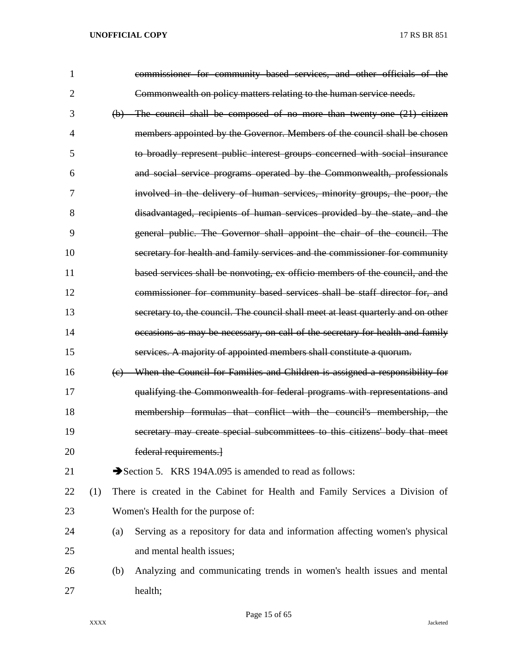| $\mathbf{1}$   |     |     | commissioner for community based services, and other officials of the             |
|----------------|-----|-----|-----------------------------------------------------------------------------------|
| $\overline{2}$ |     |     | Commonwealth on policy matters relating to the human service needs.               |
| 3              |     |     | $(b)$ The council shall be composed of no more than twenty one $(21)$ citizen     |
| 4              |     |     | members appointed by the Governor. Members of the council shall be chosen         |
| 5              |     |     | to broadly represent public interest groups concerned with social insurance       |
| 6              |     |     | and social service programs operated by the Commonwealth, professionals           |
| 7              |     |     | involved in the delivery of human services, minority groups, the poor, the        |
| 8              |     |     | disadvantaged, recipients of human services provided by the state, and the        |
| 9              |     |     | general public. The Governor shall appoint the chair of the council. The          |
| 10             |     |     | secretary for health and family services and the commissioner for community       |
| 11             |     |     | based services shall be nonvoting, ex officio members of the council, and the     |
| 12             |     |     | commissioner for community based services shall be staff director for, and        |
| 13             |     |     | secretary to, the council. The council shall meet at least quarterly and on other |
| 14             |     |     | occasions as may be necessary, on call of the secretary for health and family     |
| 15             |     |     | services. A majority of appointed members shall constitute a quorum.              |
| 16             |     | (e) | When the Council for Families and Children is assigned a responsibility for       |
| 17             |     |     | qualifying the Commonwealth for federal programs with representations and         |
| 18             |     |     | membership formulas that conflict with the council's membership, the              |
| 19             |     |     | secretary may create special subcommittees to this citizens' body that meet       |
| 20             |     |     | federal requirements.                                                             |
| 21             |     |     | Section 5. KRS 194A.095 is amended to read as follows:                            |
| 22             | (1) |     | There is created in the Cabinet for Health and Family Services a Division of      |
| 23             |     |     | Women's Health for the purpose of:                                                |
| 24             |     | (a) | Serving as a repository for data and information affecting women's physical       |
| 25             |     |     | and mental health issues;                                                         |
| 26             |     | (b) | Analyzing and communicating trends in women's health issues and mental            |
| 27             |     |     | health;                                                                           |

Page 15 of 65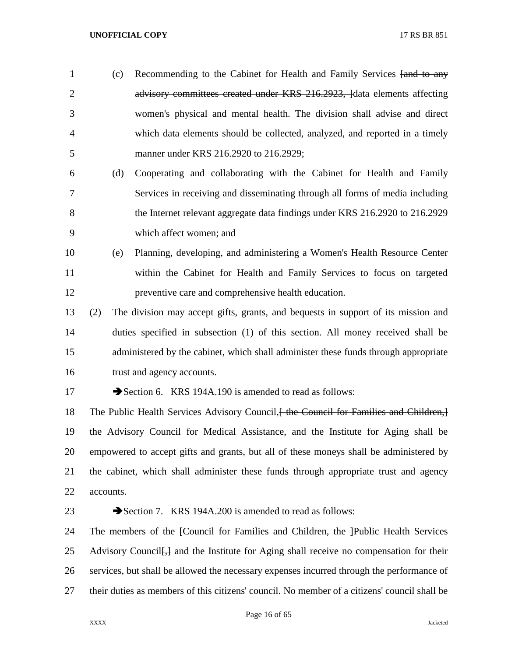- 1 (c) Recommending to the Cabinet for Health and Family Services [and to any 2 advisory committees created under KRS 216.2923, lata elements affecting women's physical and mental health. The division shall advise and direct which data elements should be collected, analyzed, and reported in a timely manner under KRS 216.2920 to 216.2929;
- (d) Cooperating and collaborating with the Cabinet for Health and Family Services in receiving and disseminating through all forms of media including the Internet relevant aggregate data findings under KRS 216.2920 to 216.2929 which affect women; and
- (e) Planning, developing, and administering a Women's Health Resource Center within the Cabinet for Health and Family Services to focus on targeted preventive care and comprehensive health education.
- (2) The division may accept gifts, grants, and bequests in support of its mission and duties specified in subsection (1) of this section. All money received shall be administered by the cabinet, which shall administer these funds through appropriate trust and agency accounts.
- 

17 Section 6. KRS 194A.190 is amended to read as follows:

18 The Public Health Services Advisory Council, the Council for Families and Children, the Advisory Council for Medical Assistance, and the Institute for Aging shall be empowered to accept gifts and grants, but all of these moneys shall be administered by the cabinet, which shall administer these funds through appropriate trust and agency accounts.

# 23 Section 7. KRS 194A.200 is amended to read as follows:

24 The members of the *[Council for Families and Children, the <sup>1</sup>Public Health Services* 25 Advisory Council <del>[,]</del> and the Institute for Aging shall receive no compensation for their services, but shall be allowed the necessary expenses incurred through the performance of their duties as members of this citizens' council. No member of a citizens' council shall be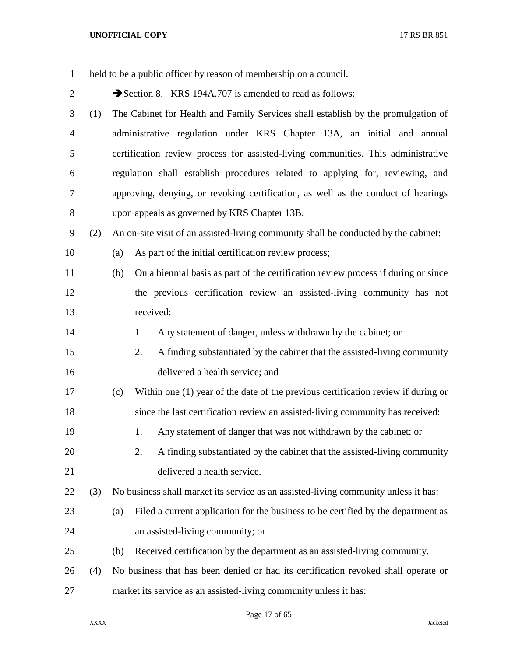| $\mathbf{1}$   |     | held to be a public officer by reason of membership on a council.                         |
|----------------|-----|-------------------------------------------------------------------------------------------|
| $\overline{c}$ |     | Section 8. KRS 194A.707 is amended to read as follows:                                    |
| 3              | (1) | The Cabinet for Health and Family Services shall establish by the promulgation of         |
| $\overline{4}$ |     | administrative regulation under KRS Chapter 13A, an initial and annual                    |
| 5              |     | certification review process for assisted-living communities. This administrative         |
| 6              |     | regulation shall establish procedures related to applying for, reviewing, and             |
| 7              |     | approving, denying, or revoking certification, as well as the conduct of hearings         |
| 8              |     | upon appeals as governed by KRS Chapter 13B.                                              |
| 9              | (2) | An on-site visit of an assisted-living community shall be conducted by the cabinet:       |
| 10             |     | As part of the initial certification review process;<br>(a)                               |
| 11             |     | On a biennial basis as part of the certification review process if during or since<br>(b) |
| 12             |     | the previous certification review an assisted-living community has not                    |
| 13             |     | received:                                                                                 |
| 14             |     | Any statement of danger, unless withdrawn by the cabinet; or<br>1.                        |
| 15             |     | A finding substantiated by the cabinet that the assisted-living community<br>2.           |
| 16             |     | delivered a health service; and                                                           |
| 17             |     | Within one (1) year of the date of the previous certification review if during or<br>(c)  |
| 18             |     | since the last certification review an assisted-living community has received:            |
| 19             |     | Any statement of danger that was not withdrawn by the cabinet; or<br>1.                   |
| 20             |     | A finding substantiated by the cabinet that the assisted-living community<br>2.           |
| 21             |     | delivered a health service.                                                               |
| 22             | (3) | No business shall market its service as an assisted-living community unless it has:       |
| 23             |     | Filed a current application for the business to be certified by the department as<br>(a)  |
| 24             |     | an assisted-living community; or                                                          |
| 25             |     | Received certification by the department as an assisted-living community.<br>(b)          |
| 26             | (4) | No business that has been denied or had its certification revoked shall operate or        |
| 27             |     | market its service as an assisted-living community unless it has:                         |

Page 17 of 65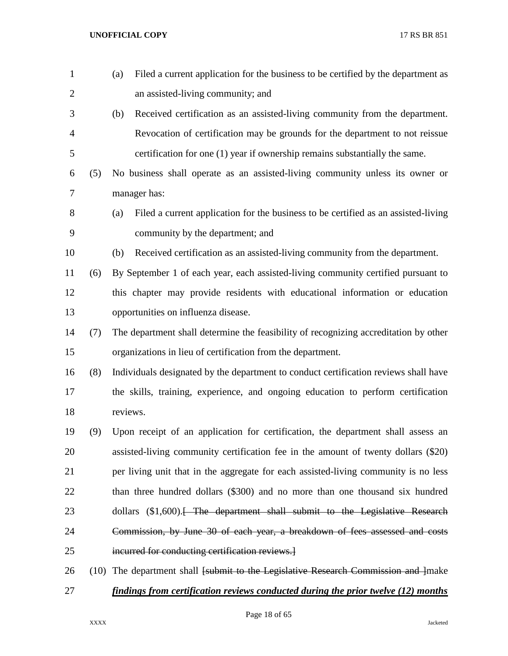| $\mathbf{1}$   |      | Filed a current application for the business to be certified by the department as<br>(a)  |
|----------------|------|-------------------------------------------------------------------------------------------|
| $\overline{2}$ |      | an assisted-living community; and                                                         |
| 3              |      | (b)<br>Received certification as an assisted-living community from the department.        |
| 4              |      | Revocation of certification may be grounds for the department to not reissue              |
| 5              |      | certification for one (1) year if ownership remains substantially the same.               |
| 6              | (5)  | No business shall operate as an assisted-living community unless its owner or             |
| 7              |      | manager has:                                                                              |
| 8              |      | Filed a current application for the business to be certified as an assisted-living<br>(a) |
| 9              |      | community by the department; and                                                          |
| 10             |      | Received certification as an assisted-living community from the department.<br>(b)        |
| 11             | (6)  | By September 1 of each year, each assisted-living community certified pursuant to         |
| 12             |      | this chapter may provide residents with educational information or education              |
| 13             |      | opportunities on influenza disease.                                                       |
| 14             | (7)  | The department shall determine the feasibility of recognizing accreditation by other      |
| 15             |      | organizations in lieu of certification from the department.                               |
| 16             | (8)  | Individuals designated by the department to conduct certification reviews shall have      |
| 17             |      | the skills, training, experience, and ongoing education to perform certification          |
| 18             |      | reviews.                                                                                  |
| 19             | (9)  | Upon receipt of an application for certification, the department shall assess an          |
| 20             |      | assisted-living community certification fee in the amount of twenty dollars (\$20)        |
| 21             |      | per living unit that in the aggregate for each assisted-living community is no less       |
| 22             |      | than three hundred dollars (\$300) and no more than one thousand six hundred              |
| 23             |      | dollars (\$1,600). <del>The department shall submit to the Legislative Research</del>     |
| 24             |      | Commission, by June 30 of each year, a breakdown of fees assessed and costs               |
| 25             |      | incurred for conducting certification reviews.]                                           |
| 26             | (10) | The department shall [submit to the Legislative Research Commission and ]make             |
| 27             |      | findings from certification reviews conducted during the prior twelve (12) months         |

Page 18 of 65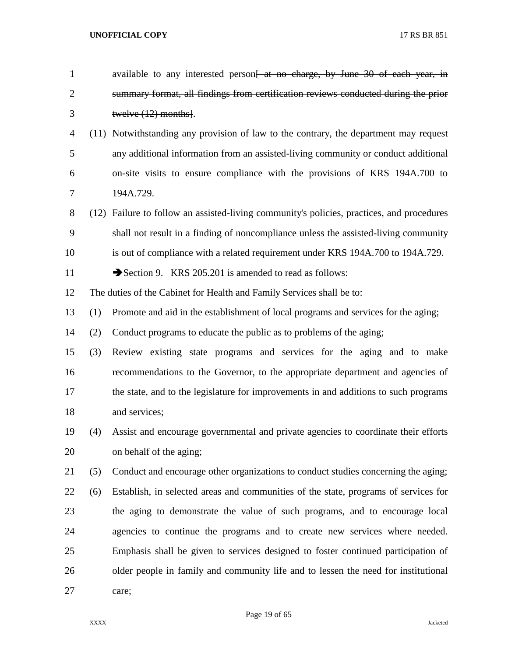| $\mathbf{1}$   |     | available to any interested person <del>[ at no charge, by June 30 of each year, in</del> |
|----------------|-----|-------------------------------------------------------------------------------------------|
| $\overline{2}$ |     | summary format, all findings from certification reviews conducted during the prior        |
| 3              |     | twelve $(12)$ months.                                                                     |
| 4              |     | (11) Notwithstanding any provision of law to the contrary, the department may request     |
| 5              |     | any additional information from an assisted-living community or conduct additional        |
| 6              |     | on-site visits to ensure compliance with the provisions of KRS 194A.700 to                |
| 7              |     | 194A.729.                                                                                 |
| 8              |     | (12) Failure to follow an assisted-living community's policies, practices, and procedures |
| 9              |     | shall not result in a finding of noncompliance unless the assisted-living community       |
| 10             |     | is out of compliance with a related requirement under KRS 194A.700 to 194A.729.           |
| 11             |     | Section 9. KRS 205.201 is amended to read as follows:                                     |
| 12             |     | The duties of the Cabinet for Health and Family Services shall be to:                     |
| 13             | (1) | Promote and aid in the establishment of local programs and services for the aging;        |
| 14             | (2) | Conduct programs to educate the public as to problems of the aging;                       |
| 15             | (3) | Review existing state programs and services for the aging and to make                     |
| 16             |     | recommendations to the Governor, to the appropriate department and agencies of            |
| 17             |     | the state, and to the legislature for improvements in and additions to such programs      |
| 18             |     | and services;                                                                             |
| 19             | (4) | Assist and encourage governmental and private agencies to coordinate their efforts        |
| 20             |     | on behalf of the aging;                                                                   |
| 21             | (5) | Conduct and encourage other organizations to conduct studies concerning the aging;        |
| 22             | (6) | Establish, in selected areas and communities of the state, programs of services for       |
| 23             |     | the aging to demonstrate the value of such programs, and to encourage local               |
| 24             |     | agencies to continue the programs and to create new services where needed.                |
| 25             |     | Emphasis shall be given to services designed to foster continued participation of         |
| 26             |     | older people in family and community life and to lessen the need for institutional        |
| 27             |     | care;                                                                                     |
|                |     |                                                                                           |

Page 19 of 65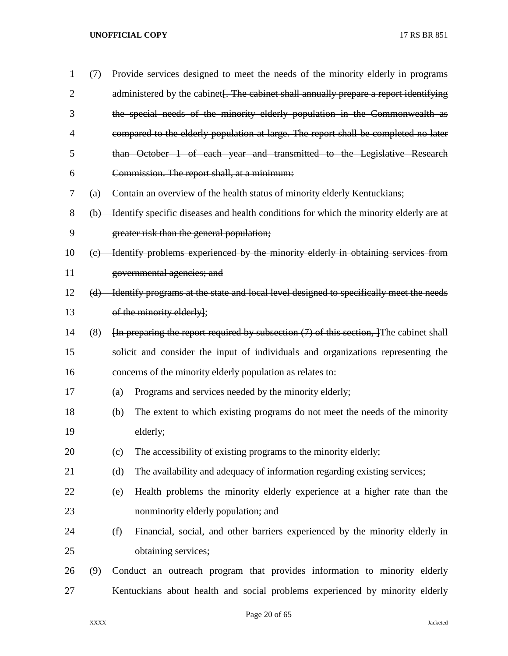| $\mathbf{1}$   | (7)                     |     | Provide services designed to meet the needs of the minority elderly in programs                                  |
|----------------|-------------------------|-----|------------------------------------------------------------------------------------------------------------------|
| $\overline{2}$ |                         |     | administered by the cabinet. The cabinet shall annually prepare a report identifying                             |
| 3              |                         |     | the special needs of the minority elderly population in the Commonwealth as                                      |
| 4              |                         |     | compared to the elderly population at large. The report shall be completed no later                              |
| 5              |                         |     | than October 1 of each year and transmitted to the Legislative Research                                          |
| 6              |                         |     | Commission. The report shall, at a minimum:                                                                      |
| 7              |                         |     | (a) Contain an overview of the health status of minority elderly Kentuckians;                                    |
| 8              |                         |     | (b) Identify specific diseases and health conditions for which the minority elderly are at                       |
| 9              |                         |     | greater risk than the general population;                                                                        |
| 10             | $\left(\epsilon\right)$ |     | Identify problems experienced by the minority elderly in obtaining services from                                 |
| 11             |                         |     | governmental agencies; and                                                                                       |
| 12             | (d)                     |     | Identify programs at the state and local level designed to specifically meet the needs                           |
| 13             |                         |     | of the minority elderly];                                                                                        |
| 14             | (8)                     |     | $\overline{h}$ preparing the report required by subsection (7) of this section, $\overline{f}$ The cabinet shall |
| 15             |                         |     | solicit and consider the input of individuals and organizations representing the                                 |
| 16             |                         |     | concerns of the minority elderly population as relates to:                                                       |
| 17             |                         | (a) | Programs and services needed by the minority elderly;                                                            |
| 18             |                         | (b) | The extent to which existing programs do not meet the needs of the minority                                      |
| 19             |                         |     | elderly;                                                                                                         |
| 20             |                         | (c) | The accessibility of existing programs to the minority elderly;                                                  |
| 21             |                         | (d) | The availability and adequacy of information regarding existing services;                                        |
| 22             |                         | (e) | Health problems the minority elderly experience at a higher rate than the                                        |
| 23             |                         |     | nonminority elderly population; and                                                                              |
| 24             |                         | (f) | Financial, social, and other barriers experienced by the minority elderly in                                     |
| 25             |                         |     | obtaining services;                                                                                              |
| 26             | (9)                     |     | Conduct an outreach program that provides information to minority elderly                                        |
| 27             |                         |     | Kentuckians about health and social problems experienced by minority elderly                                     |

Page 20 of 65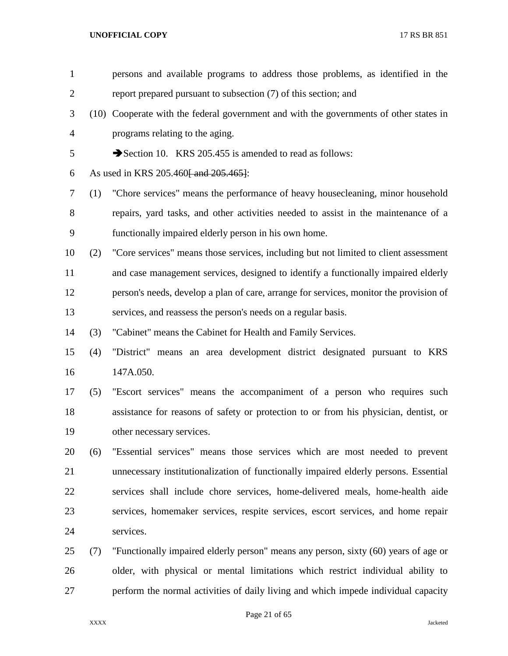| $\mathbf{1}$   |     | persons and available programs to address those problems, as identified in the         |
|----------------|-----|----------------------------------------------------------------------------------------|
| $\overline{2}$ |     | report prepared pursuant to subsection (7) of this section; and                        |
| 3              |     | (10) Cooperate with the federal government and with the governments of other states in |
| $\overline{4}$ |     | programs relating to the aging.                                                        |
| 5              |     | Section 10. KRS 205.455 is amended to read as follows:                                 |
| 6              |     | As used in KRS 205.460 and 205.465.                                                    |
| 7              | (1) | "Chore services" means the performance of heavy housecleaning, minor household         |
| 8              |     | repairs, yard tasks, and other activities needed to assist in the maintenance of a     |
| 9              |     | functionally impaired elderly person in his own home.                                  |
| 10             | (2) | "Core services" means those services, including but not limited to client assessment   |
| 11             |     | and case management services, designed to identify a functionally impaired elderly     |
| 12             |     | person's needs, develop a plan of care, arrange for services, monitor the provision of |
| 13             |     | services, and reassess the person's needs on a regular basis.                          |
| 14             | (3) | "Cabinet" means the Cabinet for Health and Family Services.                            |
| 15             | (4) | "District" means an area development district designated pursuant to KRS               |
| 16             |     | 147A.050.                                                                              |
| 17             | (5) | "Escort services" means the accompaniment of a person who requires such                |
| 18             |     | assistance for reasons of safety or protection to or from his physician, dentist, or   |
| 19             |     | other necessary services.                                                              |
| 20             | (6) | "Essential services" means those services which are most needed to prevent             |
| 21             |     | unnecessary institutionalization of functionally impaired elderly persons. Essential   |
| 22             |     | services shall include chore services, home-delivered meals, home-health aide          |
| 23             |     | services, homemaker services, respite services, escort services, and home repair       |
| 24             |     | services.                                                                              |
| 25             | (7) | "Functionally impaired elderly person" means any person, sixty (60) years of age or    |
| 26             |     | older, with physical or mental limitations which restrict individual ability to        |
| 27             |     | perform the normal activities of daily living and which impede individual capacity     |
|                |     |                                                                                        |

Page 21 of 65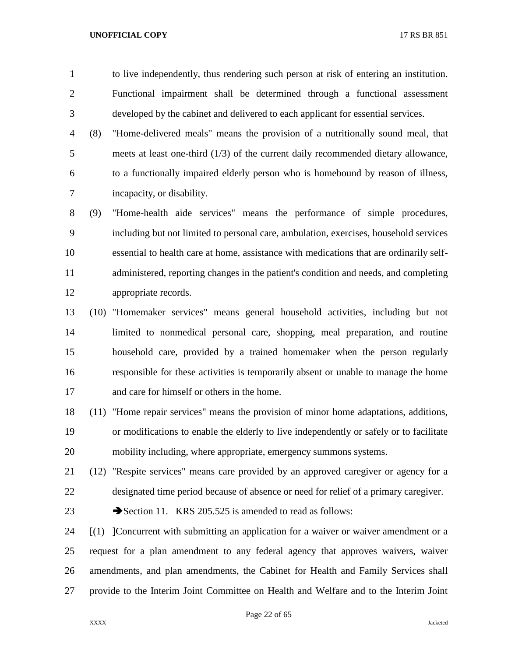- to live independently, thus rendering such person at risk of entering an institution. Functional impairment shall be determined through a functional assessment developed by the cabinet and delivered to each applicant for essential services.
- (8) "Home-delivered meals" means the provision of a nutritionally sound meal, that meets at least one-third (1/3) of the current daily recommended dietary allowance, to a functionally impaired elderly person who is homebound by reason of illness, incapacity, or disability.
- (9) "Home-health aide services" means the performance of simple procedures, including but not limited to personal care, ambulation, exercises, household services essential to health care at home, assistance with medications that are ordinarily self- administered, reporting changes in the patient's condition and needs, and completing appropriate records.
- (10) "Homemaker services" means general household activities, including but not limited to nonmedical personal care, shopping, meal preparation, and routine household care, provided by a trained homemaker when the person regularly responsible for these activities is temporarily absent or unable to manage the home and care for himself or others in the home.
- (11) "Home repair services" means the provision of minor home adaptations, additions, or modifications to enable the elderly to live independently or safely or to facilitate mobility including, where appropriate, emergency summons systems.
- (12) "Respite services" means care provided by an approved caregiver or agency for a designated time period because of absence or need for relief of a primary caregiver.
- 23 Section 11. KRS 205.525 is amended to read as follows:
- 24  $\left\{\left(1\right\}\right\}$  Concurrent with submitting an application for a waiver or waiver amendment or a request for a plan amendment to any federal agency that approves waivers, waiver amendments, and plan amendments, the Cabinet for Health and Family Services shall provide to the Interim Joint Committee on Health and Welfare and to the Interim Joint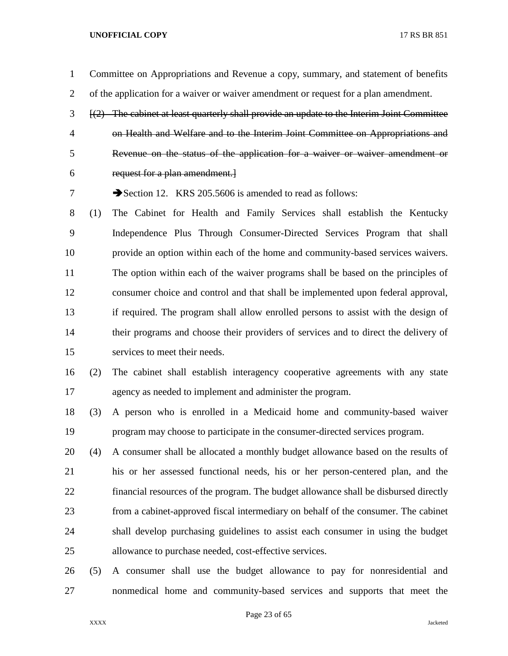- Committee on Appropriations and Revenue a copy, summary, and statement of benefits of the application for a waiver or waiver amendment or request for a plan amendment.
- [(2) The cabinet at least quarterly shall provide an update to the Interim Joint Committee on Health and Welfare and to the Interim Joint Committee on Appropriations and Revenue on the status of the application for a waiver or waiver amendment or request for a plan amendment.]

7 Section 12. KRS 205.5606 is amended to read as follows:

- (1) The Cabinet for Health and Family Services shall establish the Kentucky Independence Plus Through Consumer-Directed Services Program that shall provide an option within each of the home and community-based services waivers. The option within each of the waiver programs shall be based on the principles of consumer choice and control and that shall be implemented upon federal approval, if required. The program shall allow enrolled persons to assist with the design of their programs and choose their providers of services and to direct the delivery of services to meet their needs.
- (2) The cabinet shall establish interagency cooperative agreements with any state agency as needed to implement and administer the program.
- (3) A person who is enrolled in a Medicaid home and community-based waiver program may choose to participate in the consumer-directed services program.
- (4) A consumer shall be allocated a monthly budget allowance based on the results of his or her assessed functional needs, his or her person-centered plan, and the financial resources of the program. The budget allowance shall be disbursed directly from a cabinet-approved fiscal intermediary on behalf of the consumer. The cabinet shall develop purchasing guidelines to assist each consumer in using the budget allowance to purchase needed, cost-effective services.
- (5) A consumer shall use the budget allowance to pay for nonresidential and nonmedical home and community-based services and supports that meet the

Page 23 of 65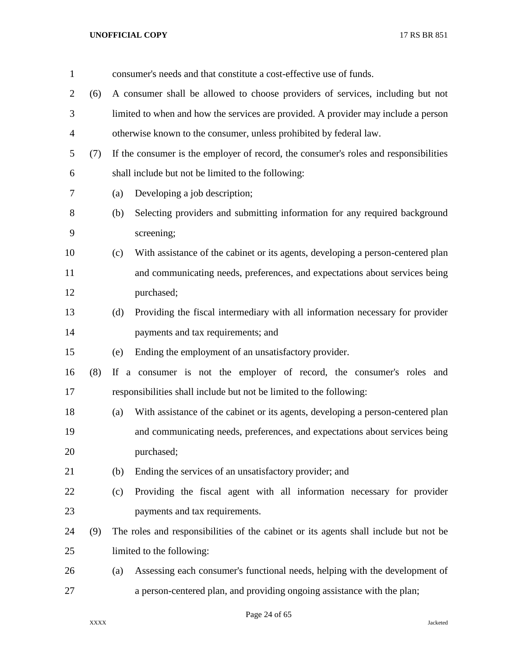| $\mathbf{1}$   |     | consumer's needs and that constitute a cost-effective use of funds.                    |
|----------------|-----|----------------------------------------------------------------------------------------|
| $\overline{2}$ | (6) | A consumer shall be allowed to choose providers of services, including but not         |
| 3              |     | limited to when and how the services are provided. A provider may include a person     |
| $\overline{4}$ |     | otherwise known to the consumer, unless prohibited by federal law.                     |
| 5              | (7) | If the consumer is the employer of record, the consumer's roles and responsibilities   |
| 6              |     | shall include but not be limited to the following:                                     |
| 7              |     | Developing a job description;<br>(a)                                                   |
| 8              |     | Selecting providers and submitting information for any required background<br>(b)      |
| 9              |     | screening;                                                                             |
| 10             |     | With assistance of the cabinet or its agents, developing a person-centered plan<br>(c) |
| 11             |     | and communicating needs, preferences, and expectations about services being            |
| 12             |     | purchased;                                                                             |
| 13             |     | Providing the fiscal intermediary with all information necessary for provider<br>(d)   |
| 14             |     | payments and tax requirements; and                                                     |
| 15             |     | Ending the employment of an unsatisfactory provider.<br>(e)                            |
| 16             | (8) | If a consumer is not the employer of record, the consumer's roles and                  |
| 17             |     | responsibilities shall include but not be limited to the following:                    |
| 18             |     | With assistance of the cabinet or its agents, developing a person-centered plan<br>(a) |
| 19             |     | and communicating needs, preferences, and expectations about services being            |
| 20             |     | purchased;                                                                             |
| 21             |     | Ending the services of an unsatisfactory provider; and<br>(b)                          |
| 22             |     | Providing the fiscal agent with all information necessary for provider<br>(c)          |
| 23             |     | payments and tax requirements.                                                         |
| 24             | (9) | The roles and responsibilities of the cabinet or its agents shall include but not be   |
| 25             |     | limited to the following:                                                              |
| 26             |     | Assessing each consumer's functional needs, helping with the development of<br>(a)     |
| 27             |     | a person-centered plan, and providing ongoing assistance with the plan;                |
|                |     |                                                                                        |

Page 24 of 65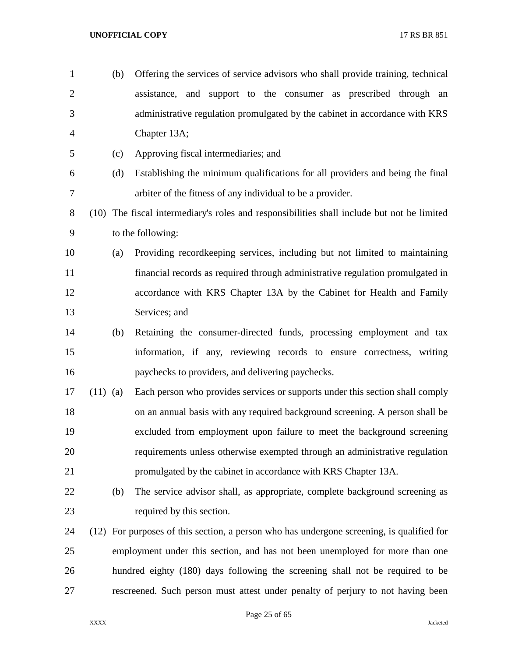| $\mathbf{1}$   |            | (b) | Offering the services of service advisors who shall provide training, technical           |
|----------------|------------|-----|-------------------------------------------------------------------------------------------|
| $\overline{2}$ |            |     | assistance, and support to the consumer as prescribed through an                          |
| 3              |            |     | administrative regulation promulgated by the cabinet in accordance with KRS               |
| $\overline{4}$ |            |     | Chapter 13A;                                                                              |
| 5              |            | (c) | Approving fiscal intermediaries; and                                                      |
| 6              |            | (d) | Establishing the minimum qualifications for all providers and being the final             |
| $\tau$         |            |     | arbiter of the fitness of any individual to be a provider.                                |
| $8\,$          | (10)       |     | The fiscal intermediary's roles and responsibilities shall include but not be limited     |
| 9              |            |     | to the following:                                                                         |
| 10             |            | (a) | Providing record keeping services, including but not limited to maintaining               |
| 11             |            |     | financial records as required through administrative regulation promulgated in            |
| 12             |            |     | accordance with KRS Chapter 13A by the Cabinet for Health and Family                      |
| 13             |            |     | Services; and                                                                             |
| 14             |            | (b) | Retaining the consumer-directed funds, processing employment and tax                      |
| 15             |            |     | information, if any, reviewing records to ensure correctness, writing                     |
| 16             |            |     | paychecks to providers, and delivering paychecks.                                         |
| 17             | $(11)$ (a) |     | Each person who provides services or supports under this section shall comply             |
| 18             |            |     | on an annual basis with any required background screening. A person shall be              |
| 19             |            |     | excluded from employment upon failure to meet the background screening                    |
| 20             |            |     | requirements unless otherwise exempted through an administrative regulation               |
| 21             |            |     | promulgated by the cabinet in accordance with KRS Chapter 13A.                            |
| 22             |            | (b) | The service advisor shall, as appropriate, complete background screening as               |
| 23             |            |     | required by this section.                                                                 |
| 24             |            |     | (12) For purposes of this section, a person who has undergone screening, is qualified for |
| 25             |            |     | employment under this section, and has not been unemployed for more than one              |
| 26             |            |     | hundred eighty (180) days following the screening shall not be required to be             |
| 27             |            |     | rescreened. Such person must attest under penalty of perjury to not having been           |

Page 25 of 65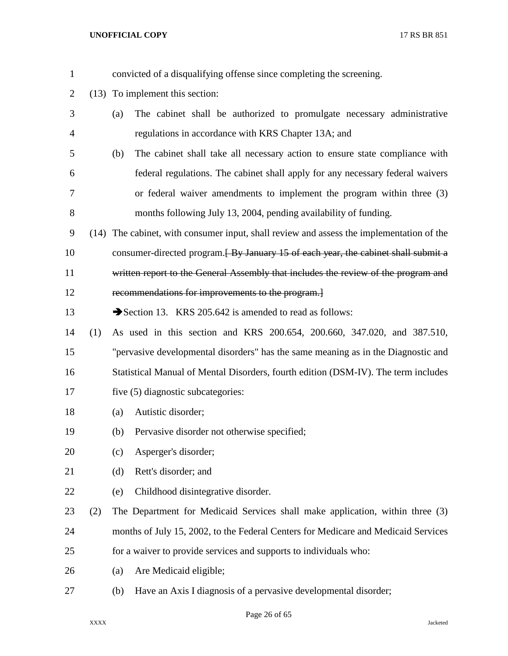| $\mathbf{1}$ |     |                                           | convicted of a disqualifying offense since completing the screening.                     |
|--------------|-----|-------------------------------------------|------------------------------------------------------------------------------------------|
| 2            |     | (13) To implement this section:           |                                                                                          |
| 3            |     | (a)                                       | The cabinet shall be authorized to promulgate necessary administrative                   |
| 4            |     |                                           | regulations in accordance with KRS Chapter 13A; and                                      |
| 5            |     | (b)                                       | The cabinet shall take all necessary action to ensure state compliance with              |
| 6            |     |                                           | federal regulations. The cabinet shall apply for any necessary federal waivers           |
| 7            |     |                                           | or federal waiver amendments to implement the program within three (3)                   |
| 8            |     |                                           | months following July 13, 2004, pending availability of funding.                         |
| 9            |     |                                           | (14) The cabinet, with consumer input, shall review and assess the implementation of the |
| 10           |     |                                           | consumer-directed program. <b>By January 15 of each year, the cabinet shall submit a</b> |
| 11           |     |                                           | written report to the General Assembly that includes the review of the program and       |
| 12           |     |                                           | recommendations for improvements to the program.                                         |
| 13           |     |                                           | Section 13. KRS 205.642 is amended to read as follows:                                   |
| 14           | (1) |                                           | As used in this section and KRS 200.654, 200.660, 347.020, and 387.510,                  |
| 15           |     |                                           | "pervasive developmental disorders" has the same meaning as in the Diagnostic and        |
| 16           |     |                                           | Statistical Manual of Mental Disorders, fourth edition (DSM-IV). The term includes       |
| 17           |     | five (5) diagnostic subcategories:        |                                                                                          |
| 18           |     | Autistic disorder;<br>(a)                 |                                                                                          |
| 19           |     | (b)                                       | Pervasive disorder not otherwise specified;                                              |
| 20           |     | Asperger's disorder;<br>(c)               |                                                                                          |
| 21           |     | Rett's disorder; and<br>(d)               |                                                                                          |
| 22           |     | Childhood disintegrative disorder.<br>(e) |                                                                                          |
| 23           | (2) |                                           | The Department for Medicaid Services shall make application, within three (3)            |
| 24           |     |                                           | months of July 15, 2002, to the Federal Centers for Medicare and Medicaid Services       |
| 25           |     |                                           | for a waiver to provide services and supports to individuals who:                        |
| 26           |     | Are Medicaid eligible;<br>(a)             |                                                                                          |
| 27           |     | (b)                                       | Have an Axis I diagnosis of a pervasive developmental disorder;                          |

# Page 26 of 65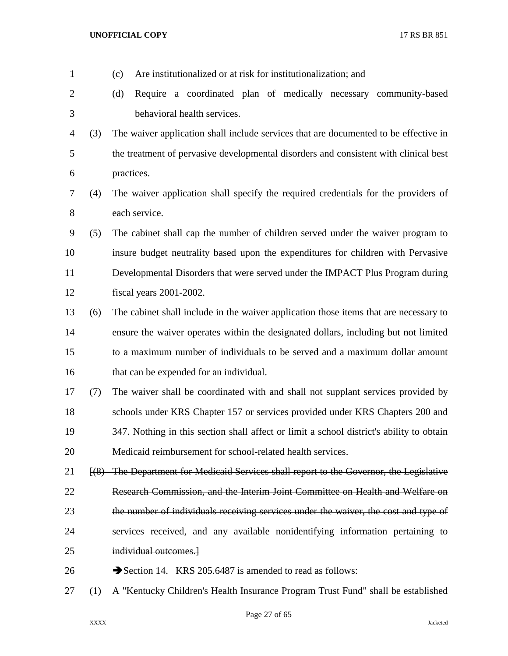| $\mathbf{1}$   |     | Are institutionalized or at risk for institutionalization; and<br>(c)                    |
|----------------|-----|------------------------------------------------------------------------------------------|
| $\overline{2}$ |     | Require a coordinated plan of medically necessary community-based<br>(d)                 |
| 3              |     | behavioral health services.                                                              |
| 4              | (3) | The waiver application shall include services that are documented to be effective in     |
| 5              |     | the treatment of pervasive developmental disorders and consistent with clinical best     |
| 6              |     | practices.                                                                               |
| $\tau$         | (4) | The waiver application shall specify the required credentials for the providers of       |
| $8\,$          |     | each service.                                                                            |
| 9              | (5) | The cabinet shall cap the number of children served under the waiver program to          |
| 10             |     | insure budget neutrality based upon the expenditures for children with Pervasive         |
| 11             |     | Developmental Disorders that were served under the IMPACT Plus Program during            |
| 12             |     | fiscal years 2001-2002.                                                                  |
| 13             | (6) | The cabinet shall include in the waiver application those items that are necessary to    |
| 14             |     | ensure the waiver operates within the designated dollars, including but not limited      |
| 15             |     | to a maximum number of individuals to be served and a maximum dollar amount              |
| 16             |     | that can be expended for an individual.                                                  |
| 17             | (7) | The waiver shall be coordinated with and shall not supplant services provided by         |
| 18             |     | schools under KRS Chapter 157 or services provided under KRS Chapters 200 and            |
| 19             |     | 347. Nothing in this section shall affect or limit a school district's ability to obtain |
| 20             |     | Medicaid reimbursement for school-related health services.                               |
| 21             |     | [(8) The Department for Medicaid Services shall report to the Governor, the Legislative  |
| 22             |     | Research Commission, and the Interim Joint Committee on Health and Welfare on            |
| 23             |     | the number of individuals receiving services under the waiver, the cost and type of      |
| 24             |     | services received, and any available nonidentifying information pertaining to            |
| 25             |     | individual outcomes.                                                                     |
| 26             |     | Section 14. KRS 205.6487 is amended to read as follows:                                  |
| 27             | (1) | A "Kentucky Children's Health Insurance Program Trust Fund" shall be established         |

Page 27 of 65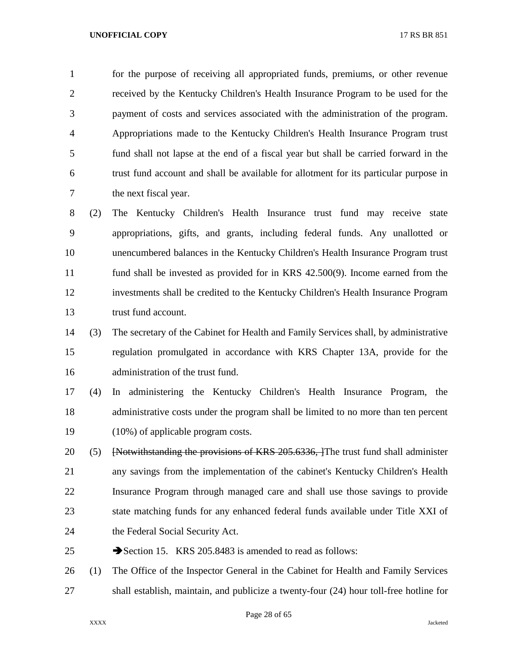for the purpose of receiving all appropriated funds, premiums, or other revenue received by the Kentucky Children's Health Insurance Program to be used for the payment of costs and services associated with the administration of the program. Appropriations made to the Kentucky Children's Health Insurance Program trust fund shall not lapse at the end of a fiscal year but shall be carried forward in the trust fund account and shall be available for allotment for its particular purpose in the next fiscal year.

 (2) The Kentucky Children's Health Insurance trust fund may receive state appropriations, gifts, and grants, including federal funds. Any unallotted or unencumbered balances in the Kentucky Children's Health Insurance Program trust fund shall be invested as provided for in KRS 42.500(9). Income earned from the investments shall be credited to the Kentucky Children's Health Insurance Program trust fund account.

- (3) The secretary of the Cabinet for Health and Family Services shall, by administrative regulation promulgated in accordance with KRS Chapter 13A, provide for the administration of the trust fund.
- (4) In administering the Kentucky Children's Health Insurance Program, the administrative costs under the program shall be limited to no more than ten percent (10%) of applicable program costs.
- 20 (5) [Notwithstanding the provisions of KRS 205.6336, The trust fund shall administer any savings from the implementation of the cabinet's Kentucky Children's Health Insurance Program through managed care and shall use those savings to provide state matching funds for any enhanced federal funds available under Title XXI of 24 the Federal Social Security Act.
- 25 Section 15. KRS 205.8483 is amended to read as follows:
- (1) The Office of the Inspector General in the Cabinet for Health and Family Services shall establish, maintain, and publicize a twenty-four (24) hour toll-free hotline for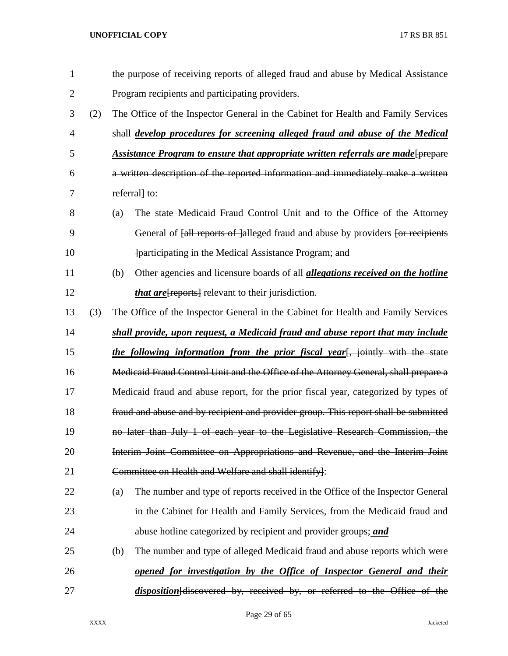| $\mathbf{1}$ |     |                                                                                     | the purpose of receiving reports of alleged fraud and abuse by Medical Assistance                        |  |
|--------------|-----|-------------------------------------------------------------------------------------|----------------------------------------------------------------------------------------------------------|--|
| 2            |     |                                                                                     | Program recipients and participating providers.                                                          |  |
| 3            | (2) |                                                                                     | The Office of the Inspector General in the Cabinet for Health and Family Services                        |  |
| 4            |     |                                                                                     | shall <i>develop procedures for screening alleged fraud and abuse of the Medical</i>                     |  |
| 5            |     |                                                                                     | Assistance Program to ensure that appropriate written referrals are made [prepare                        |  |
| 6            |     |                                                                                     | a written description of the reported information and immediately make a written                         |  |
| 7            |     |                                                                                     | referrall to:                                                                                            |  |
| 8            |     | (a)                                                                                 | The state Medicaid Fraud Control Unit and to the Office of the Attorney                                  |  |
| 9            |     |                                                                                     | General of <del>[all reports of ]</del> alleged fraud and abuse by providers <del>[or recipients</del> ] |  |
| 10           |     |                                                                                     | participating in the Medical Assistance Program; and                                                     |  |
| 11           |     | (b)                                                                                 | Other agencies and licensure boards of all <i>allegations received on the hotline</i>                    |  |
| 12           |     |                                                                                     | <i>that are</i> [reports] relevant to their jurisdiction.                                                |  |
| 13           | (3) |                                                                                     | The Office of the Inspector General in the Cabinet for Health and Family Services                        |  |
| 14           |     |                                                                                     | shall provide, upon request, a Medicaid fraud and abuse report that may include                          |  |
| 15           |     |                                                                                     | the following information from the prior fiscal year[, jointly with the state                            |  |
| 16           |     |                                                                                     | Medicaid Fraud Control Unit and the Office of the Attorney General, shall prepare a                      |  |
| 17           |     | Medicaid fraud and abuse report, for the prior fiscal year, categorized by types of |                                                                                                          |  |
| 18           |     |                                                                                     | fraud and abuse and by recipient and provider group. This report shall be submitted                      |  |
| 19           |     |                                                                                     | no later than July 1 of each year to the Legislative Research Commission, the                            |  |
| 20           |     |                                                                                     | Interim Joint Committee on Appropriations and Revenue, and the Interim Joint                             |  |
| 21           |     |                                                                                     | Committee on Health and Welfare and shall identify]:                                                     |  |
| 22           |     | (a)                                                                                 | The number and type of reports received in the Office of the Inspector General                           |  |
| 23           |     |                                                                                     | in the Cabinet for Health and Family Services, from the Medicaid fraud and                               |  |
| 24           |     |                                                                                     | abuse hotline categorized by recipient and provider groups; and                                          |  |
| 25           |     | (b)                                                                                 | The number and type of alleged Medicaid fraud and abuse reports which were                               |  |
| 26           |     |                                                                                     | opened for investigation by the Office of Inspector General and their                                    |  |
| 27           |     |                                                                                     | disposition[discovered by, received by, or referred to the Office of the                                 |  |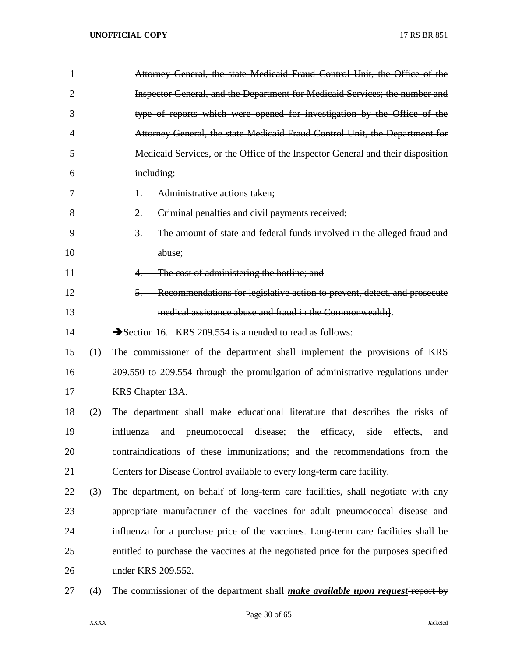| 1              |     | Attorney General, the state Medicaid Fraud Control Unit, the Office of the                  |
|----------------|-----|---------------------------------------------------------------------------------------------|
| $\overline{2}$ |     | Inspector General, and the Department for Medicaid Services; the number and                 |
| 3              |     | type of reports which were opened for investigation by the Office of the                    |
| 4              |     | Attorney General, the state Medicaid Fraud Control Unit, the Department for                 |
| 5              |     | Medicaid Services, or the Office of the Inspector General and their disposition             |
| 6              |     | including:                                                                                  |
| 7              |     | Administrative actions taken;<br>$\ddagger$                                                 |
| 8              |     | Criminal penalties and civil payments received;<br>$2 -$                                    |
| 9              |     | The amount of state and federal funds involved in the alleged fraud and<br>$\overline{3}$ . |
| 10             |     | abuse;                                                                                      |
| 11             |     | The cost of administering the hotline; and                                                  |
| 12             |     | Recommendations for legislative action to prevent, detect, and prosecute<br>$5-$            |
| 13             |     | medical assistance abuse and fraud in the Commonwealth].                                    |
| 14             |     | Section 16. KRS 209.554 is amended to read as follows:                                      |
| 15             | (1) | The commissioner of the department shall implement the provisions of KRS                    |
| 16             |     | 209.550 to 209.554 through the promulgation of administrative regulations under             |
| 17             |     | KRS Chapter 13A.                                                                            |
| 18             | (2) | The department shall make educational literature that describes the risks of                |
| 19             |     | influenza<br>pneumococcal disease; the efficacy, side effects,<br>and<br>and                |
| 20             |     | contraindications of these immunizations; and the recommendations from the                  |
| 21             |     | Centers for Disease Control available to every long-term care facility.                     |
| 22             | (3) | The department, on behalf of long-term care facilities, shall negotiate with any            |
| 23             |     | appropriate manufacturer of the vaccines for adult pneumococcal disease and                 |
| 24             |     | influenza for a purchase price of the vaccines. Long-term care facilities shall be          |
| 25             |     | entitled to purchase the vaccines at the negotiated price for the purposes specified        |
| 26             |     | under KRS 209.552.                                                                          |
| 27             | (4) | The commissioner of the department shall <i>make available upon request</i> report by       |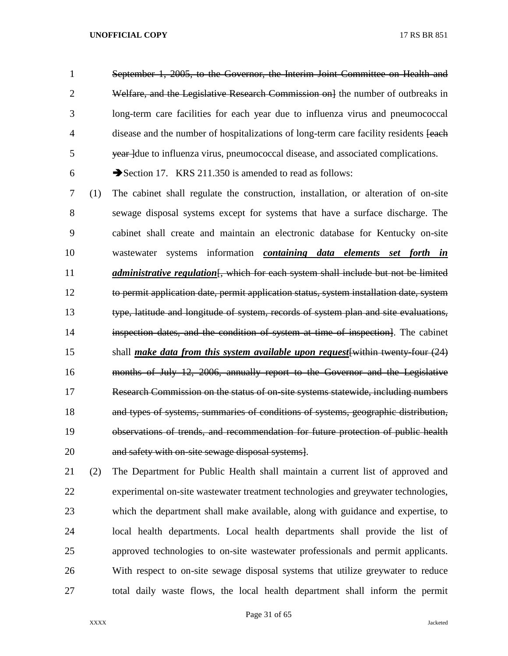September 1, 2005, to the Governor, the Interim Joint Committee on Health and 2 Welfare, and the Legislative Research Commission on lthe number of outbreaks in long-term care facilities for each year due to influenza virus and pneumococcal 4 disease and the number of hospitalizations of long-term care facility residents [each 5 year due to influenza virus, pneumococcal disease, and associated complications.

6  $\rightarrow$  Section 17. KRS 211.350 is amended to read as follows:

 (1) The cabinet shall regulate the construction, installation, or alteration of on-site sewage disposal systems except for systems that have a surface discharge. The cabinet shall create and maintain an electronic database for Kentucky on-site wastewater systems information *containing data elements set forth in administrative regulation* [, which for each system shall include but not be limited to permit application date, permit application status, system installation date, system type, latitude and longitude of system, records of system plan and site evaluations, inspection dates, and the condition of system at time of inspection]. The cabinet shall *make data from this system available upon request*[within twenty-four (24) months of July 12, 2006, annually report to the Governor and the Legislative Research Commission on the status of on-site systems statewide, including numbers and types of systems, summaries of conditions of systems, geographic distribution, observations of trends, and recommendation for future protection of public health and safety with on-site sewage disposal systems].

 (2) The Department for Public Health shall maintain a current list of approved and experimental on-site wastewater treatment technologies and greywater technologies, which the department shall make available, along with guidance and expertise, to local health departments. Local health departments shall provide the list of approved technologies to on-site wastewater professionals and permit applicants. With respect to on-site sewage disposal systems that utilize greywater to reduce total daily waste flows, the local health department shall inform the permit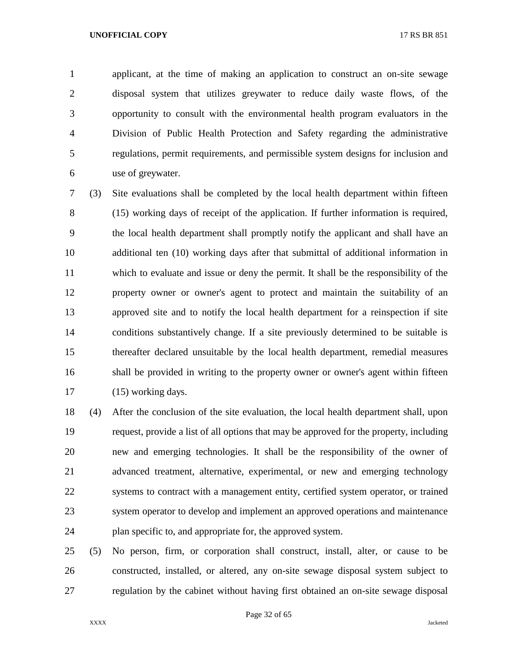applicant, at the time of making an application to construct an on-site sewage disposal system that utilizes greywater to reduce daily waste flows, of the opportunity to consult with the environmental health program evaluators in the Division of Public Health Protection and Safety regarding the administrative regulations, permit requirements, and permissible system designs for inclusion and use of greywater.

 (3) Site evaluations shall be completed by the local health department within fifteen (15) working days of receipt of the application. If further information is required, the local health department shall promptly notify the applicant and shall have an additional ten (10) working days after that submittal of additional information in which to evaluate and issue or deny the permit. It shall be the responsibility of the property owner or owner's agent to protect and maintain the suitability of an approved site and to notify the local health department for a reinspection if site conditions substantively change. If a site previously determined to be suitable is thereafter declared unsuitable by the local health department, remedial measures shall be provided in writing to the property owner or owner's agent within fifteen 17 (15) working days.

 (4) After the conclusion of the site evaluation, the local health department shall, upon request, provide a list of all options that may be approved for the property, including new and emerging technologies. It shall be the responsibility of the owner of advanced treatment, alternative, experimental, or new and emerging technology systems to contract with a management entity, certified system operator, or trained system operator to develop and implement an approved operations and maintenance 24 plan specific to, and appropriate for, the approved system.

 (5) No person, firm, or corporation shall construct, install, alter, or cause to be constructed, installed, or altered, any on-site sewage disposal system subject to regulation by the cabinet without having first obtained an on-site sewage disposal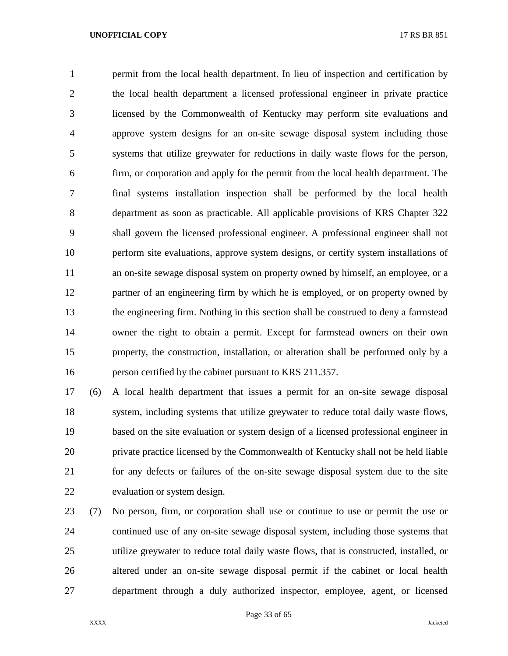permit from the local health department. In lieu of inspection and certification by the local health department a licensed professional engineer in private practice licensed by the Commonwealth of Kentucky may perform site evaluations and approve system designs for an on-site sewage disposal system including those systems that utilize greywater for reductions in daily waste flows for the person, firm, or corporation and apply for the permit from the local health department. The final systems installation inspection shall be performed by the local health department as soon as practicable. All applicable provisions of KRS Chapter 322 shall govern the licensed professional engineer. A professional engineer shall not perform site evaluations, approve system designs, or certify system installations of an on-site sewage disposal system on property owned by himself, an employee, or a partner of an engineering firm by which he is employed, or on property owned by the engineering firm. Nothing in this section shall be construed to deny a farmstead owner the right to obtain a permit. Except for farmstead owners on their own property, the construction, installation, or alteration shall be performed only by a person certified by the cabinet pursuant to KRS 211.357.

 (6) A local health department that issues a permit for an on-site sewage disposal system, including systems that utilize greywater to reduce total daily waste flows, based on the site evaluation or system design of a licensed professional engineer in private practice licensed by the Commonwealth of Kentucky shall not be held liable for any defects or failures of the on-site sewage disposal system due to the site evaluation or system design.

 (7) No person, firm, or corporation shall use or continue to use or permit the use or continued use of any on-site sewage disposal system, including those systems that utilize greywater to reduce total daily waste flows, that is constructed, installed, or altered under an on-site sewage disposal permit if the cabinet or local health department through a duly authorized inspector, employee, agent, or licensed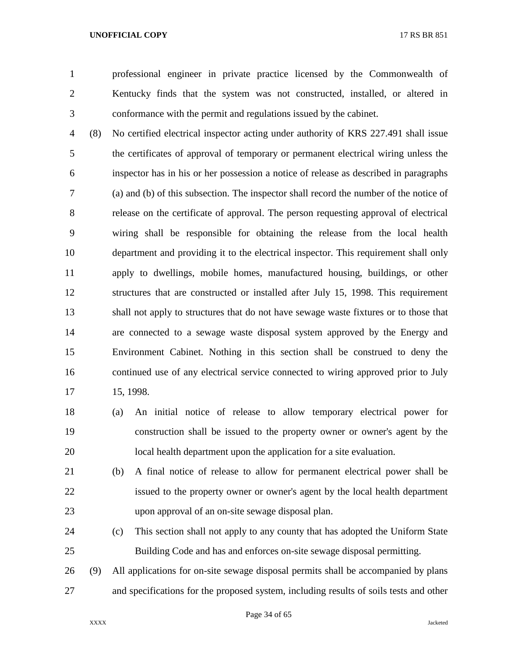professional engineer in private practice licensed by the Commonwealth of Kentucky finds that the system was not constructed, installed, or altered in conformance with the permit and regulations issued by the cabinet.

 (8) No certified electrical inspector acting under authority of KRS 227.491 shall issue the certificates of approval of temporary or permanent electrical wiring unless the inspector has in his or her possession a notice of release as described in paragraphs (a) and (b) of this subsection. The inspector shall record the number of the notice of release on the certificate of approval. The person requesting approval of electrical wiring shall be responsible for obtaining the release from the local health department and providing it to the electrical inspector. This requirement shall only apply to dwellings, mobile homes, manufactured housing, buildings, or other structures that are constructed or installed after July 15, 1998. This requirement shall not apply to structures that do not have sewage waste fixtures or to those that are connected to a sewage waste disposal system approved by the Energy and Environment Cabinet. Nothing in this section shall be construed to deny the continued use of any electrical service connected to wiring approved prior to July 15, 1998.

- (a) An initial notice of release to allow temporary electrical power for construction shall be issued to the property owner or owner's agent by the local health department upon the application for a site evaluation.
- (b) A final notice of release to allow for permanent electrical power shall be issued to the property owner or owner's agent by the local health department upon approval of an on-site sewage disposal plan.
- (c) This section shall not apply to any county that has adopted the Uniform State Building Code and has and enforces on-site sewage disposal permitting.

 (9) All applications for on-site sewage disposal permits shall be accompanied by plans and specifications for the proposed system, including results of soils tests and other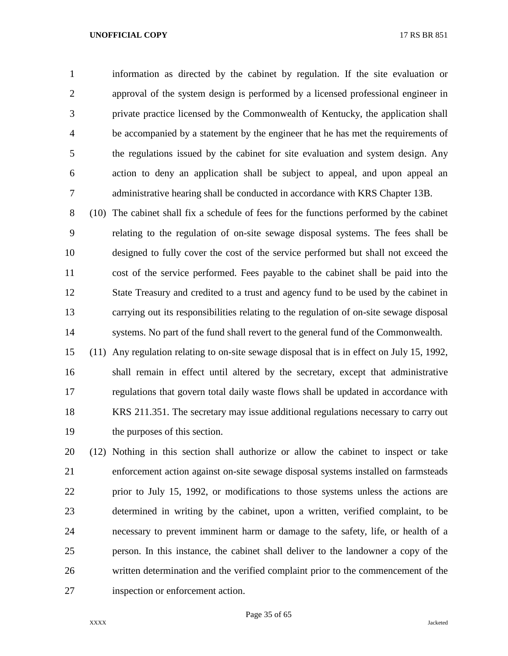information as directed by the cabinet by regulation. If the site evaluation or approval of the system design is performed by a licensed professional engineer in private practice licensed by the Commonwealth of Kentucky, the application shall be accompanied by a statement by the engineer that he has met the requirements of the regulations issued by the cabinet for site evaluation and system design. Any action to deny an application shall be subject to appeal, and upon appeal an administrative hearing shall be conducted in accordance with KRS Chapter 13B.

 (10) The cabinet shall fix a schedule of fees for the functions performed by the cabinet relating to the regulation of on-site sewage disposal systems. The fees shall be designed to fully cover the cost of the service performed but shall not exceed the cost of the service performed. Fees payable to the cabinet shall be paid into the State Treasury and credited to a trust and agency fund to be used by the cabinet in carrying out its responsibilities relating to the regulation of on-site sewage disposal systems. No part of the fund shall revert to the general fund of the Commonwealth.

 (11) Any regulation relating to on-site sewage disposal that is in effect on July 15, 1992, shall remain in effect until altered by the secretary, except that administrative regulations that govern total daily waste flows shall be updated in accordance with KRS 211.351. The secretary may issue additional regulations necessary to carry out the purposes of this section.

 (12) Nothing in this section shall authorize or allow the cabinet to inspect or take enforcement action against on-site sewage disposal systems installed on farmsteads prior to July 15, 1992, or modifications to those systems unless the actions are determined in writing by the cabinet, upon a written, verified complaint, to be necessary to prevent imminent harm or damage to the safety, life, or health of a person. In this instance, the cabinet shall deliver to the landowner a copy of the written determination and the verified complaint prior to the commencement of the inspection or enforcement action.

Page 35 of 65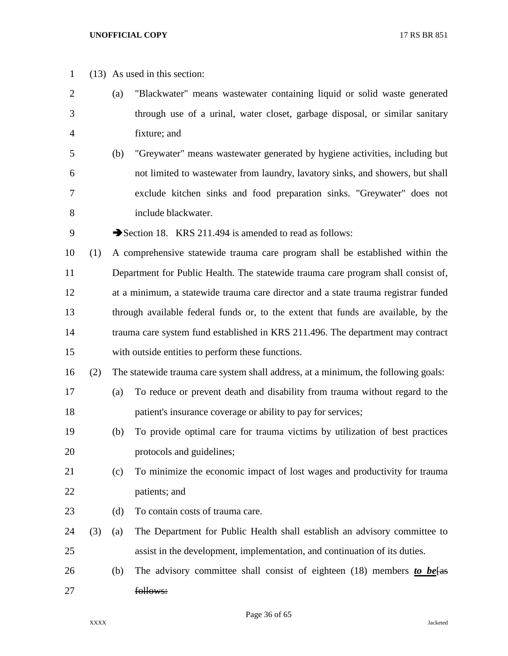| $\mathbf{1}$   |     |     | $(13)$ As used in this section:                                                    |
|----------------|-----|-----|------------------------------------------------------------------------------------|
| $\overline{2}$ |     | (a) | "Blackwater" means wastewater containing liquid or solid waste generated           |
| 3              |     |     | through use of a urinal, water closet, garbage disposal, or similar sanitary       |
| 4              |     |     | fixture; and                                                                       |
| 5              |     | (b) | "Greywater" means wastewater generated by hygiene activities, including but        |
| 6              |     |     | not limited to wastewater from laundry, lavatory sinks, and showers, but shall     |
| 7              |     |     | exclude kitchen sinks and food preparation sinks. "Greywater" does not             |
| 8              |     |     | include blackwater.                                                                |
| 9              |     |     | Section 18. KRS 211.494 is amended to read as follows:                             |
| 10             | (1) |     | A comprehensive statewide trauma care program shall be established within the      |
| 11             |     |     | Department for Public Health. The statewide trauma care program shall consist of,  |
| 12             |     |     | at a minimum, a statewide trauma care director and a state trauma registrar funded |
| 13             |     |     | through available federal funds or, to the extent that funds are available, by the |
| 14             |     |     | trauma care system fund established in KRS 211.496. The department may contract    |
| 15             |     |     | with outside entities to perform these functions.                                  |
| 16             | (2) |     | The statewide trauma care system shall address, at a minimum, the following goals: |
| 17             |     | (a) | To reduce or prevent death and disability from trauma without regard to the        |
| 18             |     |     | patient's insurance coverage or ability to pay for services;                       |
| 19             |     | (b) | To provide optimal care for trauma victims by utilization of best practices        |
| 20             |     |     | protocols and guidelines;                                                          |
| 21             |     | (c) | To minimize the economic impact of lost wages and productivity for trauma          |
| 22             |     |     | patients; and                                                                      |
| 23             |     | (d) | To contain costs of trauma care.                                                   |
| 24             | (3) | (a) | The Department for Public Health shall establish an advisory committee to          |
| 25             |     |     | assist in the development, implementation, and continuation of its duties.         |
| 26             |     | (b) | The advisory committee shall consist of eighteen (18) members to be fas            |
| 27             |     |     | follows:                                                                           |

Page 36 of 65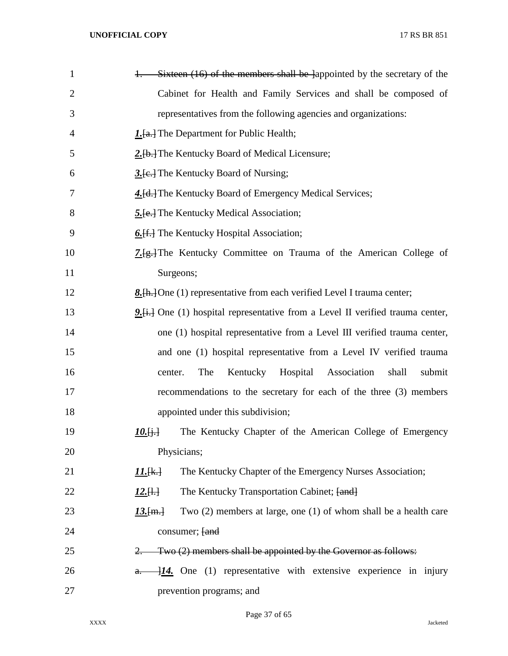| $\mathbf{1}$   | Sixteen (16) of the members shall be lappointed by the secretary of the            |
|----------------|------------------------------------------------------------------------------------|
| $\overline{2}$ | Cabinet for Health and Family Services and shall be composed of                    |
| 3              | representatives from the following agencies and organizations:                     |
| 4              | <b>1.</b> [a.] The Department for Public Health;                                   |
| 5              | 2.[b.] The Kentucky Board of Medical Licensure;                                    |
| 6              | 3. [e.] The Kentucky Board of Nursing;                                             |
| 7              | 4. [d.] The Kentucky Board of Emergency Medical Services;                          |
| 8              | 5. [e.] The Kentucky Medical Association;                                          |
| 9              | 6. [f.] The Kentucky Hospital Association;                                         |
| 10             | 7. <del>[g.]</del> The Kentucky Committee on Trauma of the American College of     |
| 11             | Surgeons;                                                                          |
| 12             | <b>8.</b> [h.] One (1) representative from each verified Level I trauma center;    |
| 13             | 9. [i.] One (1) hospital representative from a Level II verified trauma center,    |
| 14             | one (1) hospital representative from a Level III verified trauma center,           |
| 15             | and one (1) hospital representative from a Level IV verified trauma                |
| 16             | The<br>Kentucky<br>Hospital<br>Association<br>shall<br>submit<br>center.           |
| 17             | recommendations to the secretary for each of the three (3) members                 |
| 18             | appointed under this subdivision;                                                  |
| 19             | $10.6 +$<br>The Kentucky Chapter of the American College of Emergency              |
| 20             | Physicians;                                                                        |
| 21             | The Kentucky Chapter of the Emergency Nurses Association;<br><u> 11.[k.]</u>       |
| 22             | The Kentucky Transportation Cabinet; [and]<br>$12.[\frac{1}{2}]$                   |
| 23             | Two $(2)$ members at large, one $(1)$ of whom shall be a health care<br>$13.$ [m.] |
| 24             | consumer; fand                                                                     |
| 25             | Two (2) members shall be appointed by the Governor as follows:<br>2.               |
| 26             | $\frac{114}{11}$ One (1) representative with extensive experience in injury<br>a.  |
| 27             | prevention programs; and                                                           |

Page 37 of 65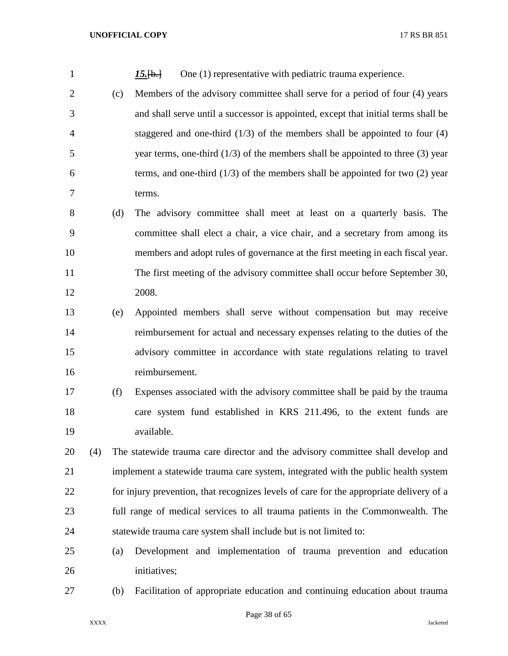| $\mathbf{1}$   |     |     | One (1) representative with pediatric trauma experience.<br>$15.$ [b.]                  |
|----------------|-----|-----|-----------------------------------------------------------------------------------------|
| $\overline{2}$ |     | (c) | Members of the advisory committee shall serve for a period of four (4) years            |
| 3              |     |     | and shall serve until a successor is appointed, except that initial terms shall be      |
| $\overline{4}$ |     |     | staggered and one-third $(1/3)$ of the members shall be appointed to four $(4)$         |
| 5              |     |     | year terms, one-third $(1/3)$ of the members shall be appointed to three $(3)$ year     |
| 6              |     |     | terms, and one-third $(1/3)$ of the members shall be appointed for two $(2)$ year       |
| 7              |     |     | terms.                                                                                  |
| 8              |     | (d) | The advisory committee shall meet at least on a quarterly basis. The                    |
| 9              |     |     | committee shall elect a chair, a vice chair, and a secretary from among its             |
| 10             |     |     | members and adopt rules of governance at the first meeting in each fiscal year.         |
| 11             |     |     | The first meeting of the advisory committee shall occur before September 30,            |
| 12             |     |     | 2008.                                                                                   |
| 13             |     | (e) | Appointed members shall serve without compensation but may receive                      |
| 14             |     |     | reimbursement for actual and necessary expenses relating to the duties of the           |
| 15             |     |     | advisory committee in accordance with state regulations relating to travel              |
| 16             |     |     | reimbursement.                                                                          |
| 17             |     | (f) | Expenses associated with the advisory committee shall be paid by the trauma             |
| 18             |     |     | care system fund established in KRS 211.496, to the extent funds are                    |
| 19             |     |     | available.                                                                              |
| 20             | (4) |     | The statewide trauma care director and the advisory committee shall develop and         |
| 21             |     |     | implement a statewide trauma care system, integrated with the public health system      |
| 22             |     |     | for injury prevention, that recognizes levels of care for the appropriate delivery of a |
| 23             |     |     | full range of medical services to all trauma patients in the Commonwealth. The          |
| 24             |     |     | statewide trauma care system shall include but is not limited to:                       |
| 25             |     | (a) | Development and implementation of trauma prevention and education                       |
| 26             |     |     | initiatives;                                                                            |
| 27             |     | (b) | Facilitation of appropriate education and continuing education about trauma             |

Page 38 of 65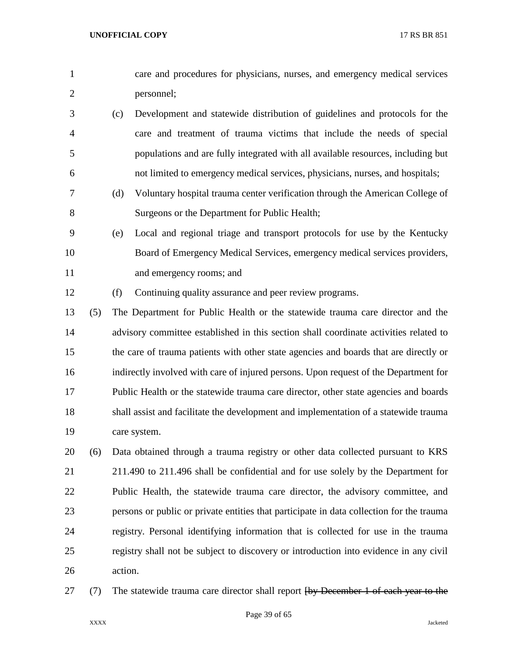- care and procedures for physicians, nurses, and emergency medical services personnel;
- (c) Development and statewide distribution of guidelines and protocols for the care and treatment of trauma victims that include the needs of special populations and are fully integrated with all available resources, including but not limited to emergency medical services, physicians, nurses, and hospitals;
- (d) Voluntary hospital trauma center verification through the American College of Surgeons or the Department for Public Health;
- (e) Local and regional triage and transport protocols for use by the Kentucky Board of Emergency Medical Services, emergency medical services providers, and emergency rooms; and
- (f) Continuing quality assurance and peer review programs.
- (5) The Department for Public Health or the statewide trauma care director and the advisory committee established in this section shall coordinate activities related to the care of trauma patients with other state agencies and boards that are directly or indirectly involved with care of injured persons. Upon request of the Department for Public Health or the statewide trauma care director, other state agencies and boards shall assist and facilitate the development and implementation of a statewide trauma care system.
- (6) Data obtained through a trauma registry or other data collected pursuant to KRS 211.490 to 211.496 shall be confidential and for use solely by the Department for Public Health, the statewide trauma care director, the advisory committee, and persons or public or private entities that participate in data collection for the trauma registry. Personal identifying information that is collected for use in the trauma registry shall not be subject to discovery or introduction into evidence in any civil action.
- 27 (7) The statewide trauma care director shall report  $\frac{1}{2}$  December 1 of each year to the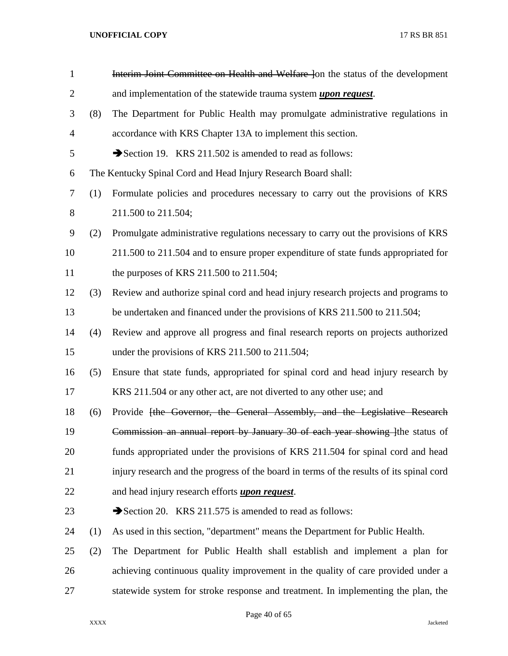| $\mathbf{1}$   |     | Interim Joint Committee on Health and Welfare Jon the status of the development          |
|----------------|-----|------------------------------------------------------------------------------------------|
| $\overline{2}$ |     | and implementation of the statewide trauma system <i>upon request</i> .                  |
| 3              | (8) | The Department for Public Health may promulgate administrative regulations in            |
| 4              |     | accordance with KRS Chapter 13A to implement this section.                               |
| 5              |     | Section 19. KRS 211.502 is amended to read as follows:                                   |
| 6              |     | The Kentucky Spinal Cord and Head Injury Research Board shall:                           |
| 7              | (1) | Formulate policies and procedures necessary to carry out the provisions of KRS           |
| 8              |     | 211.500 to 211.504;                                                                      |
| 9              | (2) | Promulgate administrative regulations necessary to carry out the provisions of KRS       |
| 10             |     | 211.500 to 211.504 and to ensure proper expenditure of state funds appropriated for      |
| 11             |     | the purposes of KRS 211.500 to 211.504;                                                  |
| 12             | (3) | Review and authorize spinal cord and head injury research projects and programs to       |
| 13             |     | be undertaken and financed under the provisions of KRS 211.500 to 211.504;               |
| 14             | (4) | Review and approve all progress and final research reports on projects authorized        |
| 15             |     | under the provisions of KRS 211.500 to 211.504;                                          |
| 16             | (5) | Ensure that state funds, appropriated for spinal cord and head injury research by        |
| 17             |     | KRS 211.504 or any other act, are not diverted to any other use; and                     |
| 18             | (6) | Provide [the Governor, the General Assembly, and the Legislative Research                |
| 19             |     | Commission an annual report by January 30 of each year showing line status of            |
| 20             |     | funds appropriated under the provisions of KRS 211.504 for spinal cord and head          |
| 21             |     | injury research and the progress of the board in terms of the results of its spinal cord |
| 22             |     | and head injury research efforts <i>upon request</i> .                                   |
| 23             |     | Section 20. KRS 211.575 is amended to read as follows:                                   |
| 24             | (1) | As used in this section, "department" means the Department for Public Health.            |
| 25             | (2) | The Department for Public Health shall establish and implement a plan for                |
| 26             |     | achieving continuous quality improvement in the quality of care provided under a         |
| 27             |     | statewide system for stroke response and treatment. In implementing the plan, the        |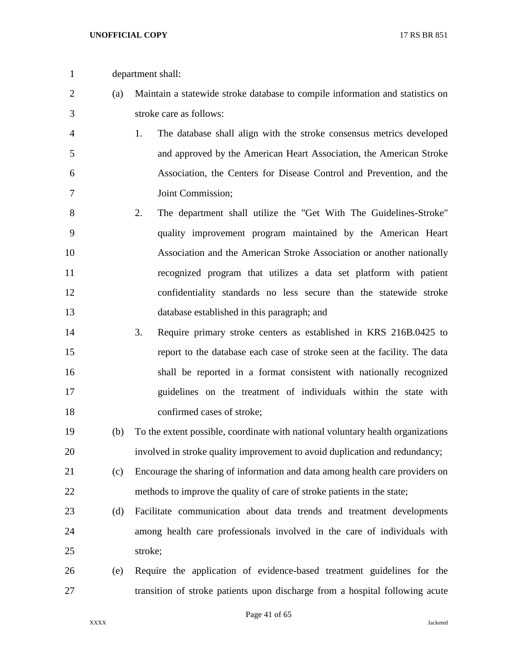- department shall:
- (a) Maintain a statewide stroke database to compile information and statistics on stroke care as follows:
- 1. The database shall align with the stroke consensus metrics developed and approved by the American Heart Association, the American Stroke Association, the Centers for Disease Control and Prevention, and the Joint Commission;
- 2. The department shall utilize the "Get With The Guidelines-Stroke" quality improvement program maintained by the American Heart Association and the American Stroke Association or another nationally recognized program that utilizes a data set platform with patient confidentiality standards no less secure than the statewide stroke database established in this paragraph; and
- 3. Require primary stroke centers as established in KRS 216B.0425 to report to the database each case of stroke seen at the facility. The data shall be reported in a format consistent with nationally recognized guidelines on the treatment of individuals within the state with confirmed cases of stroke;
- (b) To the extent possible, coordinate with national voluntary health organizations involved in stroke quality improvement to avoid duplication and redundancy;
- (c) Encourage the sharing of information and data among health care providers on methods to improve the quality of care of stroke patients in the state;
- (d) Facilitate communication about data trends and treatment developments among health care professionals involved in the care of individuals with stroke;
- (e) Require the application of evidence-based treatment guidelines for the transition of stroke patients upon discharge from a hospital following acute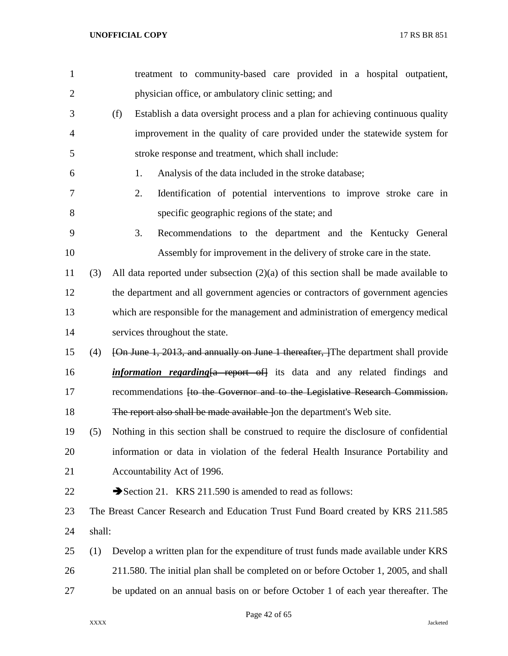| $\mathbf{1}$   |        | treatment to community-based care provided in a hospital outpatient,                    |
|----------------|--------|-----------------------------------------------------------------------------------------|
| $\overline{2}$ |        | physician office, or ambulatory clinic setting; and                                     |
| 3              |        | (f)<br>Establish a data oversight process and a plan for achieving continuous quality   |
| $\overline{4}$ |        | improvement in the quality of care provided under the statewide system for              |
| 5              |        | stroke response and treatment, which shall include:                                     |
| 6              |        | Analysis of the data included in the stroke database;<br>1.                             |
| 7              |        | 2.<br>Identification of potential interventions to improve stroke care in               |
| 8              |        | specific geographic regions of the state; and                                           |
| 9              |        | 3.<br>Recommendations to the department and the Kentucky General                        |
| 10             |        | Assembly for improvement in the delivery of stroke care in the state.                   |
| 11             | (3)    | All data reported under subsection $(2)(a)$ of this section shall be made available to  |
| 12             |        | the department and all government agencies or contractors of government agencies        |
| 13             |        | which are responsible for the management and administration of emergency medical        |
| 14             |        | services throughout the state.                                                          |
| 15             | (4)    | [On June 1, 2013, and annually on June 1 thereafter, The department shall provide       |
| 16             |        | <i>information regarding</i> {a report of} its data and any related findings and        |
| 17             |        | recommendations <del>[to the Governor and to the Legislative Research Commission.</del> |
| 18             |        | The report also shall be made available lon the department's Web site.                  |
| 19             | (5)    | Nothing in this section shall be construed to require the disclosure of confidential    |
| 20             |        | information or data in violation of the federal Health Insurance Portability and        |
| 21             |        | Accountability Act of 1996.                                                             |
| 22             |        | Section 21. KRS 211.590 is amended to read as follows:                                  |
| 23             |        | The Breast Cancer Research and Education Trust Fund Board created by KRS 211.585        |
| 24             | shall: |                                                                                         |
| 25             | (1)    | Develop a written plan for the expenditure of trust funds made available under KRS      |
| 26             |        | 211.580. The initial plan shall be completed on or before October 1, 2005, and shall    |
| 27             |        | be updated on an annual basis on or before October 1 of each year thereafter. The       |
|                |        |                                                                                         |

Page 42 of 65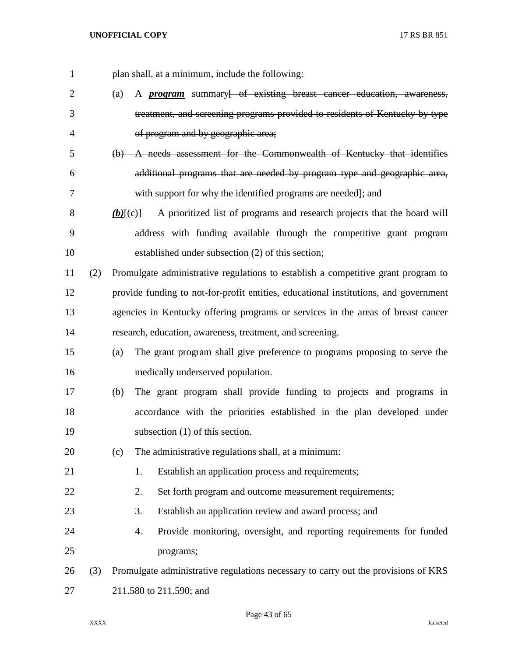| 1              |     | plan shall, at a minimum, include the following:                                                              |
|----------------|-----|---------------------------------------------------------------------------------------------------------------|
| $\overline{2}$ |     | A <i>program</i> summary of existing breast cancer education, awareness,<br>(a)                               |
| 3              |     | treatment, and screening programs provided to residents of Kentucky by type                                   |
| 4              |     | of program and by geographic area;                                                                            |
| 5              |     | (b) A needs assessment for the Commonwealth of Kentucky that identifies                                       |
| 6              |     | additional programs that are needed by program type and geographic area,                                      |
| 7              |     | with support for why the identified programs are needed]; and                                                 |
| 8              |     | A prioritized list of programs and research projects that the board will<br>$(b)$ [ $\left(\epsilon\right)$ ] |
| 9              |     | address with funding available through the competitive grant program                                          |
| 10             |     | established under subsection (2) of this section;                                                             |
| 11             | (2) | Promulgate administrative regulations to establish a competitive grant program to                             |
| 12             |     | provide funding to not-for-profit entities, educational institutions, and government                          |
| 13             |     | agencies in Kentucky offering programs or services in the areas of breast cancer                              |
| 14             |     | research, education, awareness, treatment, and screening.                                                     |
| 15             |     | The grant program shall give preference to programs proposing to serve the<br>(a)                             |
| 16             |     | medically underserved population.                                                                             |
| 17             |     | The grant program shall provide funding to projects and programs in<br>(b)                                    |
| 18             |     | accordance with the priorities established in the plan developed under                                        |
| 19             |     | subsection $(1)$ of this section.                                                                             |
| 20             |     | The administrative regulations shall, at a minimum:<br>(c)                                                    |
| 21             |     | Establish an application process and requirements;<br>1.                                                      |
| 22             |     | 2.<br>Set forth program and outcome measurement requirements;                                                 |
| 23             |     | 3.<br>Establish an application review and award process; and                                                  |
| 24             |     | Provide monitoring, oversight, and reporting requirements for funded<br>4.                                    |
| 25             |     | programs;                                                                                                     |
| 26             | (3) | Promulgate administrative regulations necessary to carry out the provisions of KRS                            |
| 27             |     | 211.580 to 211.590; and                                                                                       |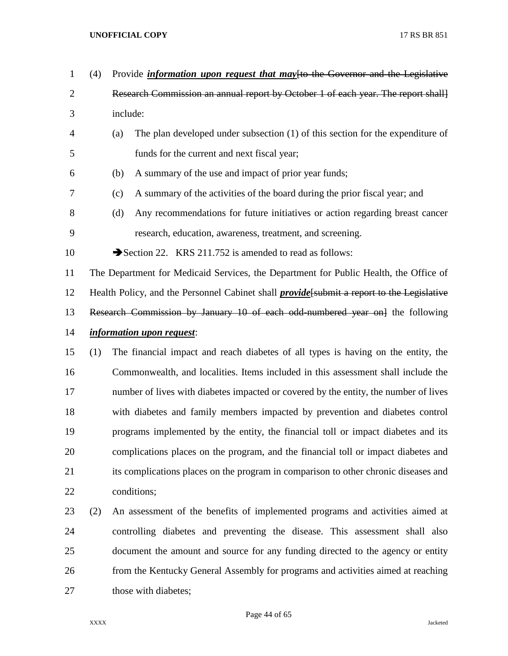| $\mathbf{1}$   | (4) | Provide <i>information upon request that may</i> [to the Governor and the Legislative             |  |  |
|----------------|-----|---------------------------------------------------------------------------------------------------|--|--|
| $\overline{2}$ |     | Research Commission an annual report by October 1 of each year. The report shall]                 |  |  |
| 3              |     | include:                                                                                          |  |  |
| 4              |     | The plan developed under subsection (1) of this section for the expenditure of<br>(a)             |  |  |
| 5              |     | funds for the current and next fiscal year;                                                       |  |  |
| 6              |     | A summary of the use and impact of prior year funds;<br>(b)                                       |  |  |
| 7              |     | A summary of the activities of the board during the prior fiscal year; and<br>(c)                 |  |  |
| 8              |     | Any recommendations for future initiatives or action regarding breast cancer<br>(d)               |  |  |
| 9              |     | research, education, awareness, treatment, and screening.                                         |  |  |
| 10             |     | Section 22. KRS 211.752 is amended to read as follows:                                            |  |  |
| 11             |     | The Department for Medicaid Services, the Department for Public Health, the Office of             |  |  |
| 12             |     | Health Policy, and the Personnel Cabinet shall <i>provide</i> [submit a report to the Legislative |  |  |
| 13             |     | Research Commission by January 10 of each odd numbered year on the following                      |  |  |
| 14             |     | <i>information upon request:</i>                                                                  |  |  |
| 15             | (1) | The financial impact and reach diabetes of all types is having on the entity, the                 |  |  |
| 16             |     | Commonwealth, and localities. Items included in this assessment shall include the                 |  |  |
| 17             |     | number of lives with diabetes impacted or covered by the entity, the number of lives              |  |  |
| 18             |     | with diabetes and family members impacted by prevention and diabetes control                      |  |  |
| 19             |     | programs implemented by the entity, the financial toll or impact diabetes and its                 |  |  |
| 20             |     | complications places on the program, and the financial toll or impact diabetes and                |  |  |
| 21             |     | its complications places on the program in comparison to other chronic diseases and               |  |  |
| 22             |     | conditions;                                                                                       |  |  |
| 23             | (2) | An assessment of the benefits of implemented programs and activities aimed at                     |  |  |
| 24             |     | controlling diabetes and preventing the disease. This assessment shall also                       |  |  |
| 25             |     | document the amount and source for any funding directed to the agency or entity                   |  |  |
| 26             |     | from the Kentucky General Assembly for programs and activities aimed at reaching                  |  |  |
| 27             |     | those with diabetes;                                                                              |  |  |

Page 44 of 65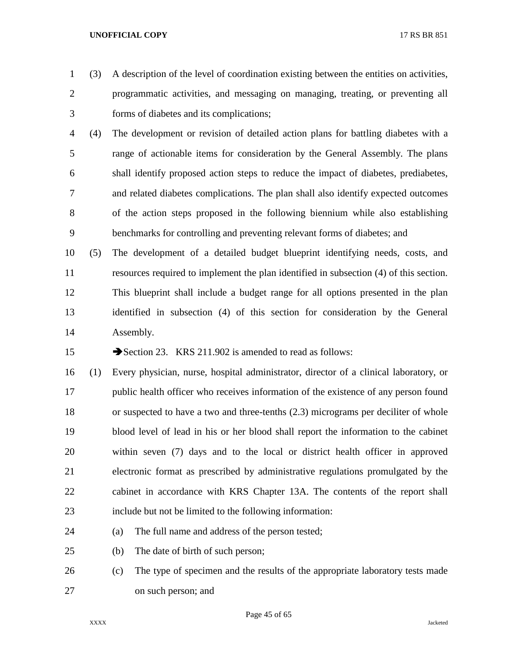(3) A description of the level of coordination existing between the entities on activities, programmatic activities, and messaging on managing, treating, or preventing all forms of diabetes and its complications;

- (4) The development or revision of detailed action plans for battling diabetes with a range of actionable items for consideration by the General Assembly. The plans shall identify proposed action steps to reduce the impact of diabetes, prediabetes, and related diabetes complications. The plan shall also identify expected outcomes of the action steps proposed in the following biennium while also establishing benchmarks for controlling and preventing relevant forms of diabetes; and
- (5) The development of a detailed budget blueprint identifying needs, costs, and resources required to implement the plan identified in subsection (4) of this section. This blueprint shall include a budget range for all options presented in the plan identified in subsection (4) of this section for consideration by the General Assembly.

15 Section 23. KRS 211.902 is amended to read as follows:

 (1) Every physician, nurse, hospital administrator, director of a clinical laboratory, or public health officer who receives information of the existence of any person found or suspected to have a two and three-tenths (2.3) micrograms per deciliter of whole blood level of lead in his or her blood shall report the information to the cabinet within seven (7) days and to the local or district health officer in approved electronic format as prescribed by administrative regulations promulgated by the cabinet in accordance with KRS Chapter 13A. The contents of the report shall include but not be limited to the following information:

- (a) The full name and address of the person tested;
- (b) The date of birth of such person;
- (c) The type of specimen and the results of the appropriate laboratory tests made on such person; and

Page 45 of 65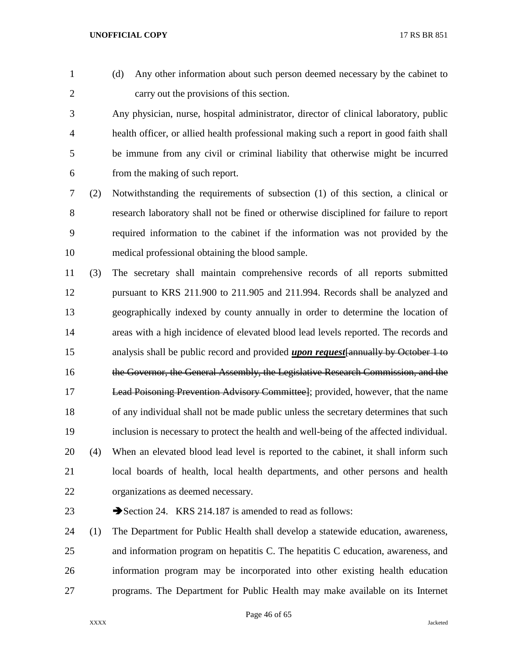- 
- (d) Any other information about such person deemed necessary by the cabinet to carry out the provisions of this section.

 Any physician, nurse, hospital administrator, director of clinical laboratory, public health officer, or allied health professional making such a report in good faith shall be immune from any civil or criminal liability that otherwise might be incurred from the making of such report.

 (2) Notwithstanding the requirements of subsection (1) of this section, a clinical or research laboratory shall not be fined or otherwise disciplined for failure to report required information to the cabinet if the information was not provided by the medical professional obtaining the blood sample.

 (3) The secretary shall maintain comprehensive records of all reports submitted pursuant to KRS 211.900 to 211.905 and 211.994. Records shall be analyzed and geographically indexed by county annually in order to determine the location of areas with a high incidence of elevated blood lead levels reported. The records and analysis shall be public record and provided *upon request*[annually by October 1 to the Governor, the General Assembly, the Legislative Research Commission, and the Lead Poisoning Prevention Advisory Committee]; provided, however, that the name of any individual shall not be made public unless the secretary determines that such inclusion is necessary to protect the health and well-being of the affected individual. (4) When an elevated blood lead level is reported to the cabinet, it shall inform such local boards of health, local health departments, and other persons and health organizations as deemed necessary.

23 Section 24. KRS 214.187 is amended to read as follows:

 (1) The Department for Public Health shall develop a statewide education, awareness, and information program on hepatitis C. The hepatitis C education, awareness, and information program may be incorporated into other existing health education programs. The Department for Public Health may make available on its Internet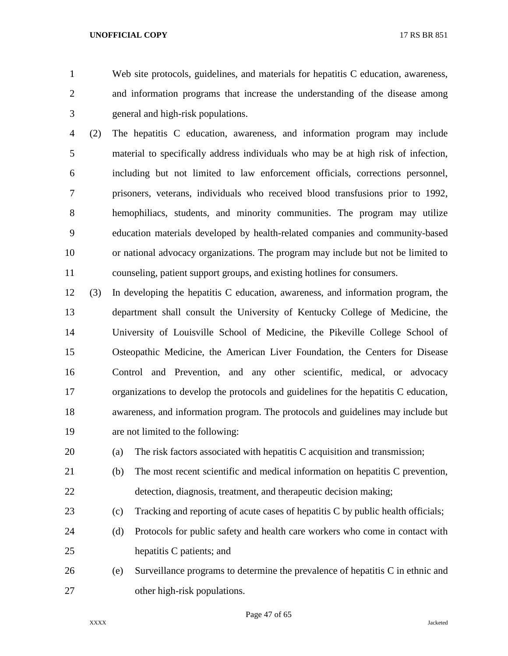Web site protocols, guidelines, and materials for hepatitis C education, awareness, and information programs that increase the understanding of the disease among general and high-risk populations.

 (2) The hepatitis C education, awareness, and information program may include material to specifically address individuals who may be at high risk of infection, including but not limited to law enforcement officials, corrections personnel, prisoners, veterans, individuals who received blood transfusions prior to 1992, hemophiliacs, students, and minority communities. The program may utilize education materials developed by health-related companies and community-based or national advocacy organizations. The program may include but not be limited to counseling, patient support groups, and existing hotlines for consumers.

 (3) In developing the hepatitis C education, awareness, and information program, the department shall consult the University of Kentucky College of Medicine, the University of Louisville School of Medicine, the Pikeville College School of Osteopathic Medicine, the American Liver Foundation, the Centers for Disease Control and Prevention, and any other scientific, medical, or advocacy organizations to develop the protocols and guidelines for the hepatitis C education, awareness, and information program. The protocols and guidelines may include but are not limited to the following:

(a) The risk factors associated with hepatitis C acquisition and transmission;

 (b) The most recent scientific and medical information on hepatitis C prevention, detection, diagnosis, treatment, and therapeutic decision making;

(c) Tracking and reporting of acute cases of hepatitis C by public health officials;

 (d) Protocols for public safety and health care workers who come in contact with hepatitis C patients; and

 (e) Surveillance programs to determine the prevalence of hepatitis C in ethnic and other high-risk populations.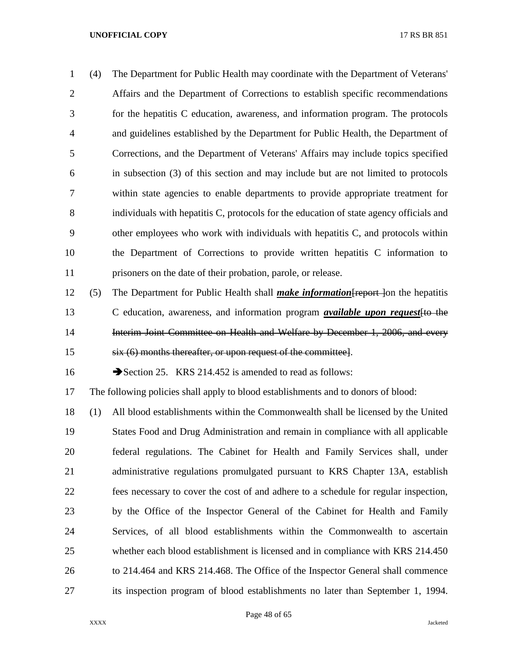| 1              | (4) | The Department for Public Health may coordinate with the Department of Veterans'         |
|----------------|-----|------------------------------------------------------------------------------------------|
| 2              |     | Affairs and the Department of Corrections to establish specific recommendations          |
| 3              |     | for the hepatitis C education, awareness, and information program. The protocols         |
| $\overline{4}$ |     | and guidelines established by the Department for Public Health, the Department of        |
| 5              |     | Corrections, and the Department of Veterans' Affairs may include topics specified        |
| 6              |     | in subsection (3) of this section and may include but are not limited to protocols       |
| 7              |     | within state agencies to enable departments to provide appropriate treatment for         |
| 8              |     | individuals with hepatitis C, protocols for the education of state agency officials and  |
| 9              |     | other employees who work with individuals with hepatitis C, and protocols within         |
| 10             |     | the Department of Corrections to provide written hepatitis C information to              |
| 11             |     | prisoners on the date of their probation, parole, or release.                            |
| 12             | (5) | The Department for Public Health shall <i>make information</i> Freport Jon the hepatitis |

 C education, awareness, and information program *available upon request*[to the 14 Interim Joint Committee on Health and Welfare by December 1, 2006, and every six (6) months thereafter, or upon request of the committee].

16 Section 25. KRS 214.452 is amended to read as follows:

The following policies shall apply to blood establishments and to donors of blood:

 (1) All blood establishments within the Commonwealth shall be licensed by the United States Food and Drug Administration and remain in compliance with all applicable federal regulations. The Cabinet for Health and Family Services shall, under administrative regulations promulgated pursuant to KRS Chapter 13A, establish fees necessary to cover the cost of and adhere to a schedule for regular inspection, by the Office of the Inspector General of the Cabinet for Health and Family Services, of all blood establishments within the Commonwealth to ascertain whether each blood establishment is licensed and in compliance with KRS 214.450 to 214.464 and KRS 214.468. The Office of the Inspector General shall commence its inspection program of blood establishments no later than September 1, 1994.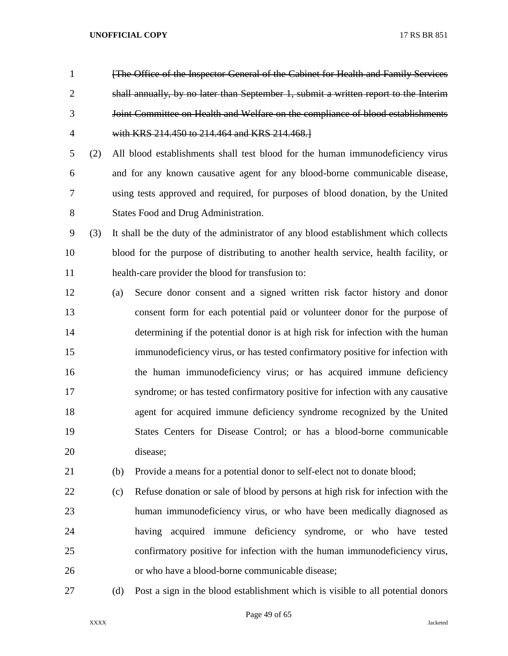- [The Office of the Inspector General of the Cabinet for Health and Family Services shall annually, by no later than September 1, submit a written report to the Interim Joint Committee on Health and Welfare on the compliance of blood establishments with KRS 214.450 to 214.464 and KRS 214.468.]
- (2) All blood establishments shall test blood for the human immunodeficiency virus and for any known causative agent for any blood-borne communicable disease, using tests approved and required, for purposes of blood donation, by the United States Food and Drug Administration.
- (3) It shall be the duty of the administrator of any blood establishment which collects blood for the purpose of distributing to another health service, health facility, or health-care provider the blood for transfusion to:
- (a) Secure donor consent and a signed written risk factor history and donor consent form for each potential paid or volunteer donor for the purpose of determining if the potential donor is at high risk for infection with the human immunodeficiency virus, or has tested confirmatory positive for infection with the human immunodeficiency virus; or has acquired immune deficiency syndrome; or has tested confirmatory positive for infection with any causative agent for acquired immune deficiency syndrome recognized by the United States Centers for Disease Control; or has a blood-borne communicable disease;
- (b) Provide a means for a potential donor to self-elect not to donate blood;
- (c) Refuse donation or sale of blood by persons at high risk for infection with the human immunodeficiency virus, or who have been medically diagnosed as having acquired immune deficiency syndrome, or who have tested confirmatory positive for infection with the human immunodeficiency virus, or who have a blood-borne communicable disease;
- 

(d) Post a sign in the blood establishment which is visible to all potential donors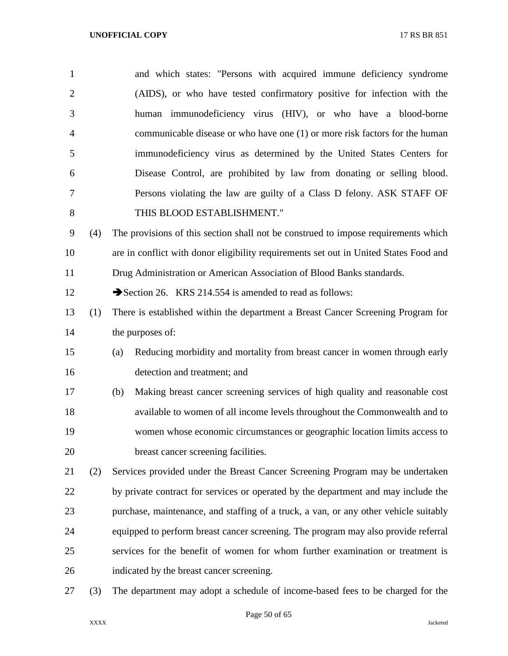| $\mathbf{1}$   |     | and which states: "Persons with acquired immune deficiency syndrome                   |
|----------------|-----|---------------------------------------------------------------------------------------|
| $\overline{2}$ |     | (AIDS), or who have tested confirmatory positive for infection with the               |
| 3              |     | human immunodeficiency virus (HIV), or who have a blood-borne                         |
| $\overline{4}$ |     | communicable disease or who have one (1) or more risk factors for the human           |
| 5              |     | immunodeficiency virus as determined by the United States Centers for                 |
| 6              |     | Disease Control, are prohibited by law from donating or selling blood.                |
| 7              |     | Persons violating the law are guilty of a Class D felony. ASK STAFF OF                |
| $8\,$          |     | THIS BLOOD ESTABLISHMENT."                                                            |
| 9              | (4) | The provisions of this section shall not be construed to impose requirements which    |
| 10             |     | are in conflict with donor eligibility requirements set out in United States Food and |
| 11             |     | Drug Administration or American Association of Blood Banks standards.                 |
| 12             |     | Section 26. KRS 214.554 is amended to read as follows:                                |
| 13             | (1) | There is established within the department a Breast Cancer Screening Program for      |
| 14             |     | the purposes of:                                                                      |
| 15             |     | Reducing morbidity and mortality from breast cancer in women through early<br>(a)     |
| 16             |     | detection and treatment; and                                                          |
| 17             |     | Making breast cancer screening services of high quality and reasonable cost<br>(b)    |
| 18             |     | available to women of all income levels throughout the Commonwealth and to            |
| 19             |     | women whose economic circumstances or geographic location limits access to            |
| 20             |     | breast cancer screening facilities.                                                   |
| 21             | (2) | Services provided under the Breast Cancer Screening Program may be undertaken         |
| 22             |     | by private contract for services or operated by the department and may include the    |
| 23             |     | purchase, maintenance, and staffing of a truck, a van, or any other vehicle suitably  |
| 24             |     | equipped to perform breast cancer screening. The program may also provide referral    |
| 25             |     | services for the benefit of women for whom further examination or treatment is        |
| 26             |     | indicated by the breast cancer screening.                                             |
| 27             | (3) | The department may adopt a schedule of income-based fees to be charged for the        |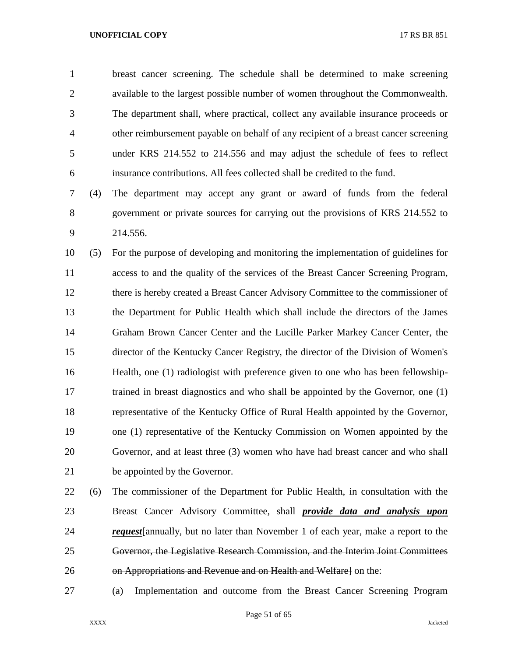breast cancer screening. The schedule shall be determined to make screening available to the largest possible number of women throughout the Commonwealth. The department shall, where practical, collect any available insurance proceeds or other reimbursement payable on behalf of any recipient of a breast cancer screening under KRS 214.552 to 214.556 and may adjust the schedule of fees to reflect insurance contributions. All fees collected shall be credited to the fund.

 (4) The department may accept any grant or award of funds from the federal government or private sources for carrying out the provisions of KRS 214.552 to 214.556.

 (5) For the purpose of developing and monitoring the implementation of guidelines for access to and the quality of the services of the Breast Cancer Screening Program, there is hereby created a Breast Cancer Advisory Committee to the commissioner of the Department for Public Health which shall include the directors of the James Graham Brown Cancer Center and the Lucille Parker Markey Cancer Center, the director of the Kentucky Cancer Registry, the director of the Division of Women's Health, one (1) radiologist with preference given to one who has been fellowship- trained in breast diagnostics and who shall be appointed by the Governor, one (1) representative of the Kentucky Office of Rural Health appointed by the Governor, one (1) representative of the Kentucky Commission on Women appointed by the Governor, and at least three (3) women who have had breast cancer and who shall be appointed by the Governor.

 (6) The commissioner of the Department for Public Health, in consultation with the Breast Cancer Advisory Committee, shall *provide data and analysis upon request*[annually, but no later than November 1 of each year, make a report to the Governor, the Legislative Research Commission, and the Interim Joint Committees on Appropriations and Revenue and on Health and Welfare] on the:

(a) Implementation and outcome from the Breast Cancer Screening Program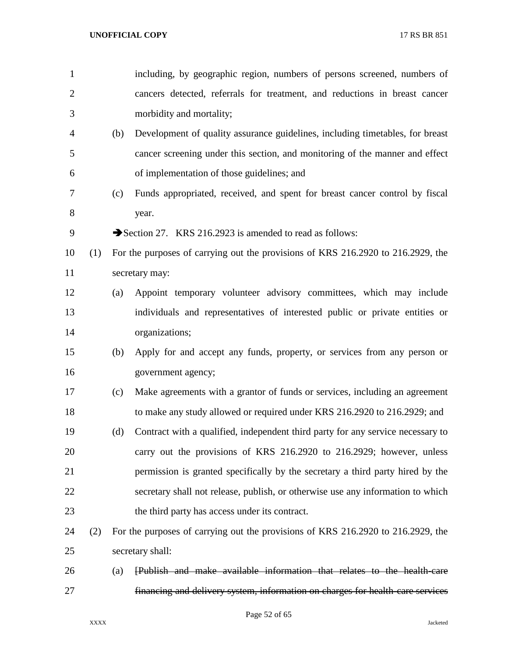| $\mathbf{1}$   |     |     | including, by geographic region, numbers of persons screened, numbers of         |
|----------------|-----|-----|----------------------------------------------------------------------------------|
| $\mathfrak{2}$ |     |     | cancers detected, referrals for treatment, and reductions in breast cancer       |
| 3              |     |     | morbidity and mortality;                                                         |
| $\overline{4}$ |     | (b) | Development of quality assurance guidelines, including timetables, for breast    |
| 5              |     |     | cancer screening under this section, and monitoring of the manner and effect     |
| 6              |     |     | of implementation of those guidelines; and                                       |
| 7              |     | (c) | Funds appropriated, received, and spent for breast cancer control by fiscal      |
| 8              |     |     | year.                                                                            |
| 9              |     |     | Section 27. KRS 216.2923 is amended to read as follows:                          |
| 10             | (1) |     | For the purposes of carrying out the provisions of KRS 216.2920 to 216.2929, the |
| 11             |     |     | secretary may:                                                                   |
| 12             |     | (a) | Appoint temporary volunteer advisory committees, which may include               |
| 13             |     |     | individuals and representatives of interested public or private entities or      |
| 14             |     |     | organizations;                                                                   |
| 15             |     | (b) | Apply for and accept any funds, property, or services from any person or         |
| 16             |     |     | government agency;                                                               |
| 17             |     | (c) | Make agreements with a grantor of funds or services, including an agreement      |
| 18             |     |     | to make any study allowed or required under KRS 216.2920 to 216.2929; and        |
| 19             |     | (d) | Contract with a qualified, independent third party for any service necessary to  |
| 20             |     |     | carry out the provisions of KRS 216.2920 to 216.2929; however, unless            |
| 21             |     |     | permission is granted specifically by the secretary a third party hired by the   |
| 22             |     |     | secretary shall not release, publish, or otherwise use any information to which  |
| 23             |     |     | the third party has access under its contract.                                   |
| 24             | (2) |     | For the purposes of carrying out the provisions of KRS 216.2920 to 216.2929, the |
| 25             |     |     | secretary shall:                                                                 |
| 26             |     | (a) | [Publish and make available information that relates to the health-care          |
| 27             |     |     | financing and delivery system, information on charges for health-care services   |

Page 52 of 65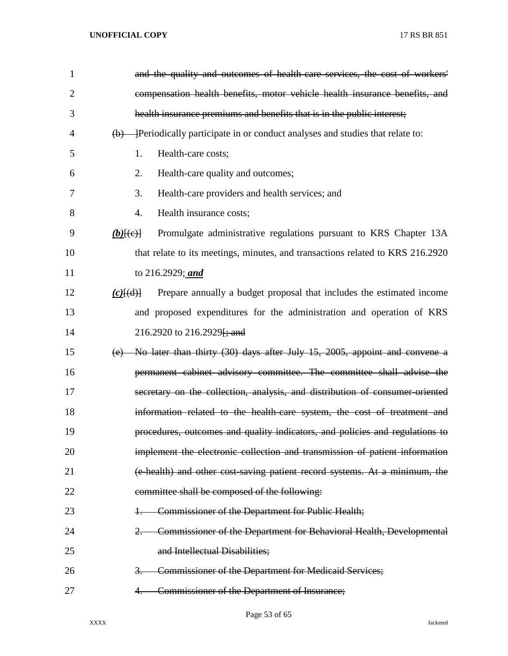| $\mathbf{1}$ | and the quality and outcomes of health care services, the cost of workers'                         |
|--------------|----------------------------------------------------------------------------------------------------|
| 2            | compensation health benefits, motor vehicle health insurance benefits, and                         |
| 3            | health insurance premiums and benefits that is in the public interest;                             |
| 4            | $\overline{(b)}$ - Periodically participate in or conduct analyses and studies that relate to:     |
| 5            | Health-care costs;<br>1.                                                                           |
| 6            | 2.<br>Health-care quality and outcomes;                                                            |
| 7            | 3.<br>Health-care providers and health services; and                                               |
| 8            | Health insurance costs;<br>4.                                                                      |
| 9            | Promulgate administrative regulations pursuant to KRS Chapter 13A<br>$(b)$ [ $(e)$ ]               |
| 10           | that relate to its meetings, minutes, and transactions related to KRS 216.2920                     |
| 11           | to 216.2929; and                                                                                   |
| 12           | Prepare annually a budget proposal that includes the estimated income<br>$(c)$ $\overline{\{d\}\}$ |
| 13           | and proposed expenditures for the administration and operation of KRS                              |
| 14           | 216.2920 to 216.2929 <del>[; and</del>                                                             |
| 15           | (e) No later than thirty $(30)$ days after July 15, 2005, appoint and convene a                    |
| 16           | permanent cabinet advisory committee. The committee shall advise the                               |
| 17           | secretary on the collection, analysis, and distribution of consumer-oriented                       |
| 18           | information related to the health-care system, the cost of treatment and                           |
| 19           | procedures, outcomes and quality indicators, and policies and regulations to                       |
| 20           | implement the electronic collection and transmission of patient information                        |
| 21           | (e-health) and other cost-saving patient record systems. At a minimum, the                         |
| 22           | committee shall be composed of the following:                                                      |
| 23           | Commissioner of the Department for Public Health;                                                  |
| 24           | Commissioner of the Department for Behavioral Health, Developmental                                |
| 25           | and Intellectual Disabilities;                                                                     |
| 26           | <b>Commissioner of the Department for Medicaid Services;</b><br>3.                                 |
| 27           | Commissioner of the Department of Insurance;                                                       |

Page 53 of 65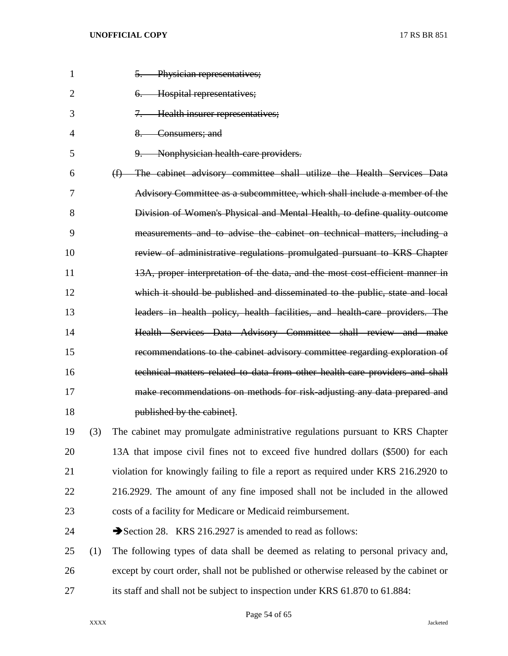| $\mathbf{1}$   |     | 5. Physician representatives;                                                         |
|----------------|-----|---------------------------------------------------------------------------------------|
| $\overline{2}$ |     | Hospital representatives;<br>$6-$                                                     |
| 3              |     | Health insurer representatives;<br>$7 -$                                              |
| 4              |     | Consumers; and<br>$8-$                                                                |
| 5              |     | Nonphysician health care providers.<br>$9-$                                           |
| 6              |     | The cabinet advisory committee shall utilize the Health Services Data<br>(f)          |
| 7              |     | Advisory Committee as a subcommittee, which shall include a member of the             |
| 8              |     | Division of Women's Physical and Mental Health, to define quality outcome             |
| 9              |     | measurements and to advise the cabinet on technical matters, including a              |
| 10             |     | review of administrative regulations promulgated pursuant to KRS Chapter              |
| 11             |     | 13A, proper interpretation of the data, and the most cost efficient manner in         |
| 12             |     | which it should be published and disseminated to the public, state and local          |
| 13             |     | leaders in health policy, health facilities, and health care providers. The           |
| 14             |     | Health Services Data Advisory Committee shall review and make                         |
| 15             |     | recommendations to the cabinet advisory committee regarding exploration of            |
| 16             |     | technical matters related to data from other health-care providers and shall          |
| 17             |     | make recommendations on methods for risk-adjusting any data prepared and              |
| 18             |     | published by the cabinet.                                                             |
| 19             | (3) | The cabinet may promulgate administrative regulations pursuant to KRS Chapter         |
| 20             |     | 13A that impose civil fines not to exceed five hundred dollars (\$500) for each       |
| 21             |     | violation for knowingly failing to file a report as required under KRS 216.2920 to    |
| 22             |     | 216.2929. The amount of any fine imposed shall not be included in the allowed         |
| 23             |     | costs of a facility for Medicare or Medicaid reimbursement.                           |
| 24             |     | Section 28. KRS 216.2927 is amended to read as follows:                               |
| 25             | (1) | The following types of data shall be deemed as relating to personal privacy and,      |
| 26             |     | except by court order, shall not be published or otherwise released by the cabinet or |
| 27             |     | its staff and shall not be subject to inspection under KRS 61.870 to 61.884:          |

Page 54 of 65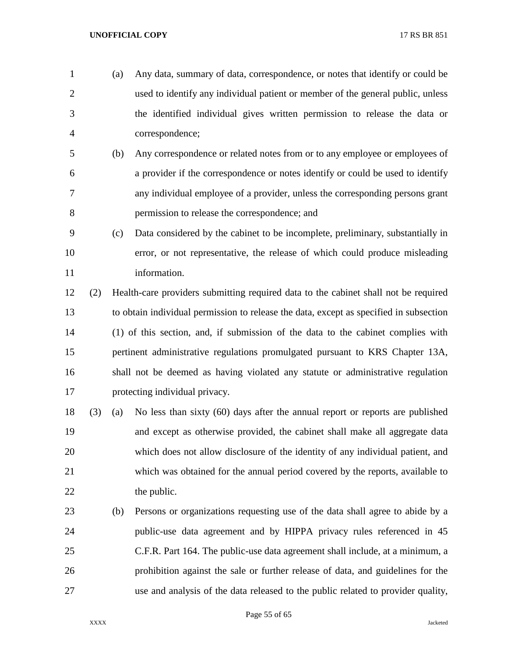- (a) Any data, summary of data, correspondence, or notes that identify or could be used to identify any individual patient or member of the general public, unless the identified individual gives written permission to release the data or correspondence;
- (b) Any correspondence or related notes from or to any employee or employees of a provider if the correspondence or notes identify or could be used to identify any individual employee of a provider, unless the corresponding persons grant permission to release the correspondence; and
- (c) Data considered by the cabinet to be incomplete, preliminary, substantially in error, or not representative, the release of which could produce misleading 11 information.
- (2) Health-care providers submitting required data to the cabinet shall not be required to obtain individual permission to release the data, except as specified in subsection (1) of this section, and, if submission of the data to the cabinet complies with pertinent administrative regulations promulgated pursuant to KRS Chapter 13A, shall not be deemed as having violated any statute or administrative regulation protecting individual privacy.
- (3) (a) No less than sixty (60) days after the annual report or reports are published and except as otherwise provided, the cabinet shall make all aggregate data which does not allow disclosure of the identity of any individual patient, and which was obtained for the annual period covered by the reports, available to 22 the public.
- (b) Persons or organizations requesting use of the data shall agree to abide by a public-use data agreement and by HIPPA privacy rules referenced in 45 C.F.R. Part 164. The public-use data agreement shall include, at a minimum, a prohibition against the sale or further release of data, and guidelines for the use and analysis of the data released to the public related to provider quality,

Page 55 of 65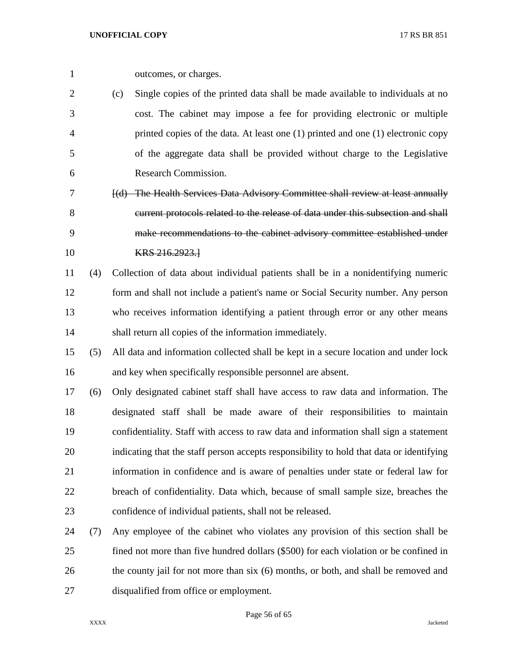(c) Single copies of the printed data shall be made available to individuals at no cost. The cabinet may impose a fee for providing electronic or multiple printed copies of the data. At least one (1) printed and one (1) electronic copy of the aggregate data shall be provided without charge to the Legislative Research Commission.

 [(d) The Health Services Data Advisory Committee shall review at least annually current protocols related to the release of data under this subsection and shall make recommendations to the cabinet advisory committee established under **KRS** 216.2923.

 (4) Collection of data about individual patients shall be in a nonidentifying numeric form and shall not include a patient's name or Social Security number. Any person who receives information identifying a patient through error or any other means shall return all copies of the information immediately.

 (5) All data and information collected shall be kept in a secure location and under lock and key when specifically responsible personnel are absent.

 (6) Only designated cabinet staff shall have access to raw data and information. The designated staff shall be made aware of their responsibilities to maintain confidentiality. Staff with access to raw data and information shall sign a statement indicating that the staff person accepts responsibility to hold that data or identifying information in confidence and is aware of penalties under state or federal law for breach of confidentiality. Data which, because of small sample size, breaches the confidence of individual patients, shall not be released.

 (7) Any employee of the cabinet who violates any provision of this section shall be fined not more than five hundred dollars (\$500) for each violation or be confined in 26 the county jail for not more than six (6) months, or both, and shall be removed and disqualified from office or employment.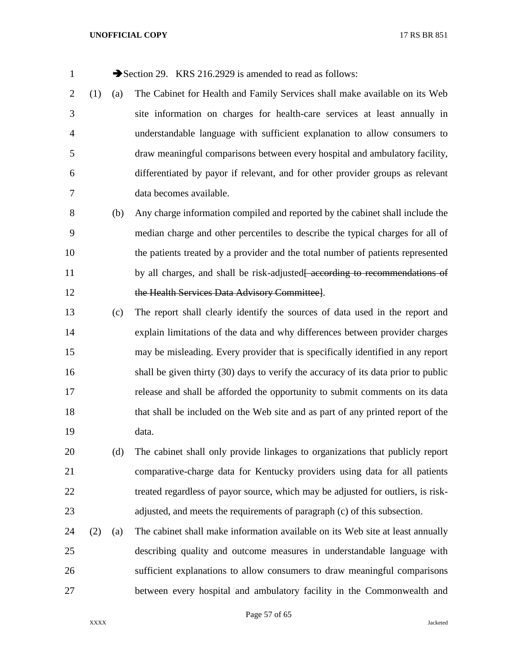1 Section 29. KRS 216.2929 is amended to read as follows:

 (1) (a) The Cabinet for Health and Family Services shall make available on its Web site information on charges for health-care services at least annually in understandable language with sufficient explanation to allow consumers to draw meaningful comparisons between every hospital and ambulatory facility, differentiated by payor if relevant, and for other provider groups as relevant data becomes available.

 (b) Any charge information compiled and reported by the cabinet shall include the median charge and other percentiles to describe the typical charges for all of the patients treated by a provider and the total number of patients represented 11 by all charges, and shall be risk-adjusted<del>[ according to recommendations of</del> the Health Services Data Advisory Committee].

 (c) The report shall clearly identify the sources of data used in the report and explain limitations of the data and why differences between provider charges may be misleading. Every provider that is specifically identified in any report shall be given thirty (30) days to verify the accuracy of its data prior to public release and shall be afforded the opportunity to submit comments on its data that shall be included on the Web site and as part of any printed report of the data.

 (d) The cabinet shall only provide linkages to organizations that publicly report comparative-charge data for Kentucky providers using data for all patients treated regardless of payor source, which may be adjusted for outliers, is risk-adjusted, and meets the requirements of paragraph (c) of this subsection.

 (2) (a) The cabinet shall make information available on its Web site at least annually describing quality and outcome measures in understandable language with sufficient explanations to allow consumers to draw meaningful comparisons between every hospital and ambulatory facility in the Commonwealth and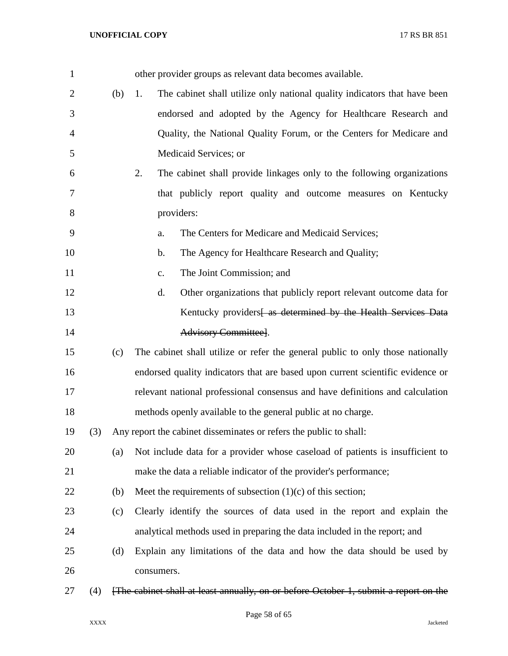| $\mathbf{1}$   |     |     | other provider groups as relevant data becomes available.                            |
|----------------|-----|-----|--------------------------------------------------------------------------------------|
| $\overline{2}$ |     | (b) | The cabinet shall utilize only national quality indicators that have been<br>1.      |
| 3              |     |     | endorsed and adopted by the Agency for Healthcare Research and                       |
| 4              |     |     | Quality, the National Quality Forum, or the Centers for Medicare and                 |
| 5              |     |     | Medicaid Services; or                                                                |
| 6              |     |     | 2.<br>The cabinet shall provide linkages only to the following organizations         |
| 7              |     |     | that publicly report quality and outcome measures on Kentucky                        |
| 8              |     |     | providers:                                                                           |
| 9              |     |     | The Centers for Medicare and Medicaid Services;<br>a.                                |
| 10             |     |     | The Agency for Healthcare Research and Quality;<br>b.                                |
| 11             |     |     | The Joint Commission; and<br>c.                                                      |
| 12             |     |     | d.<br>Other organizations that publicly report relevant outcome data for             |
| 13             |     |     | Kentucky providers as determined by the Health Services Data                         |
| 14             |     |     | Advisory Committee].                                                                 |
| 15             |     | (c) | The cabinet shall utilize or refer the general public to only those nationally       |
| 16             |     |     | endorsed quality indicators that are based upon current scientific evidence or       |
| 17             |     |     | relevant national professional consensus and have definitions and calculation        |
| 18             |     |     | methods openly available to the general public at no charge.                         |
| 19             | (3) |     | Any report the cabinet disseminates or refers the public to shall:                   |
| 20             |     | (a) | Not include data for a provider whose caseload of patients is insufficient to        |
| 21             |     |     | make the data a reliable indicator of the provider's performance;                    |
| 22             |     | (b) | Meet the requirements of subsection $(1)(c)$ of this section;                        |
| 23             |     | (c) | Clearly identify the sources of data used in the report and explain the              |
| 24             |     |     | analytical methods used in preparing the data included in the report; and            |
| 25             |     | (d) | Explain any limitations of the data and how the data should be used by               |
| 26             |     |     | consumers.                                                                           |
| 27             | (4) |     | [The cabinet shall at least annually, on or before October 1, submit a report on the |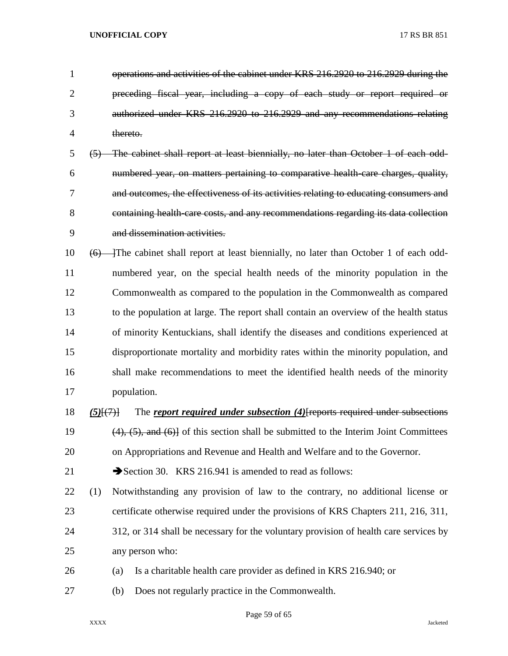| 1              |             | operations and activities of the cabinet under KRS 216.2920 to 216.2929 during the           |
|----------------|-------------|----------------------------------------------------------------------------------------------|
| $\overline{2}$ |             | preceding fiscal year, including a copy of each study or report required or                  |
| 3              |             | authorized under KRS 216.2920 to 216.2929 and any recommendations relating                   |
| $\overline{4}$ |             | thereto.                                                                                     |
| 5              |             | (5) The cabinet shall report at least biennially, no later than October 1 of each odd-       |
| 6              |             | numbered year, on matters pertaining to comparative health care charges, quality,            |
| 7              |             | and outcomes, the effectiveness of its activities relating to educating consumers and        |
| 8              |             | containing health-care costs, and any recommendations regarding its data collection          |
| 9              |             | and dissemination activities.                                                                |
| 10             |             | (6) The cabinet shall report at least biennially, no later than October 1 of each odd-       |
| 11             |             | numbered year, on the special health needs of the minority population in the                 |
| 12             |             | Commonwealth as compared to the population in the Commonwealth as compared                   |
| 13             |             | to the population at large. The report shall contain an overview of the health status        |
| 14             |             | of minority Kentuckians, shall identify the diseases and conditions experienced at           |
| 15             |             | disproportionate mortality and morbidity rates within the minority population, and           |
| 16             |             | shall make recommendations to meet the identified health needs of the minority               |
| 17             |             | population.                                                                                  |
| 18             | $(5)$ $(7)$ | The report required under subsection (4) [reports required under subsections                 |
| 19             |             | $(4)$ , $(5)$ , and $(6)$ of this section shall be submitted to the Interim Joint Committees |
| 20             |             | on Appropriations and Revenue and Health and Welfare and to the Governor.                    |
| 21             |             | Section 30. KRS 216.941 is amended to read as follows:                                       |
| 22             | (1)         | Notwithstanding any provision of law to the contrary, no additional license or               |
| 23             |             | certificate otherwise required under the provisions of KRS Chapters 211, 216, 311,           |
| 24             |             | 312, or 314 shall be necessary for the voluntary provision of health care services by        |
| 25             |             | any person who:                                                                              |
| 26             |             | Is a charitable health care provider as defined in KRS 216.940; or<br>(a)                    |
| $27\,$         |             | Does not regularly practice in the Commonwealth.<br>(b)                                      |

Page 59 of 65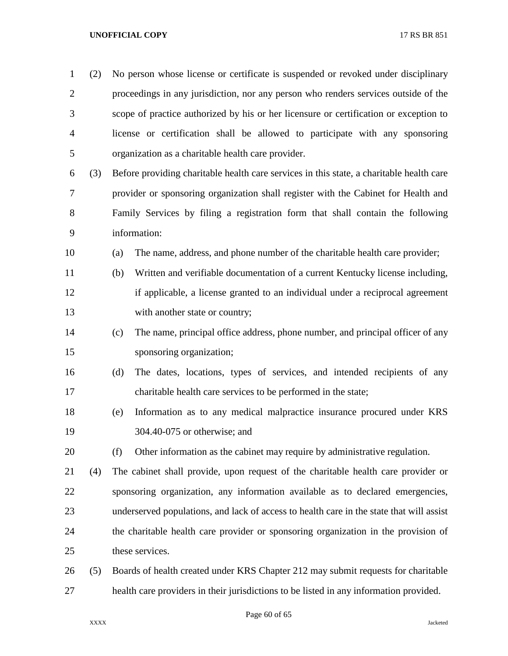| $\mathbf{1}$   | (2) | No person whose license or certificate is suspended or revoked under disciplinary        |
|----------------|-----|------------------------------------------------------------------------------------------|
| $\overline{2}$ |     | proceedings in any jurisdiction, nor any person who renders services outside of the      |
| 3              |     | scope of practice authorized by his or her licensure or certification or exception to    |
| $\overline{4}$ |     | license or certification shall be allowed to participate with any sponsoring             |
| 5              |     | organization as a charitable health care provider.                                       |
| 6              | (3) | Before providing charitable health care services in this state, a charitable health care |
| 7              |     | provider or sponsoring organization shall register with the Cabinet for Health and       |
| 8              |     | Family Services by filing a registration form that shall contain the following           |
| 9              |     | information:                                                                             |
| 10             |     | The name, address, and phone number of the charitable health care provider;<br>(a)       |
| 11             |     | Written and verifiable documentation of a current Kentucky license including,<br>(b)     |
| 12             |     | if applicable, a license granted to an individual under a reciprocal agreement           |
| 13             |     | with another state or country;                                                           |
| 14             |     | The name, principal office address, phone number, and principal officer of any<br>(c)    |
| 15             |     | sponsoring organization;                                                                 |
| 16             |     | The dates, locations, types of services, and intended recipients of any<br>(d)           |
| 17             |     | charitable health care services to be performed in the state;                            |
| 18             |     | Information as to any medical malpractice insurance procured under KRS<br>(e)            |
| 19             |     | 304.40-075 or otherwise; and                                                             |
| 20             |     | Other information as the cabinet may require by administrative regulation.<br>(f)        |
| 21             | (4) | The cabinet shall provide, upon request of the charitable health care provider or        |
| 22             |     | sponsoring organization, any information available as to declared emergencies,           |
| 23             |     | underserved populations, and lack of access to health care in the state that will assist |
| 24             |     | the charitable health care provider or sponsoring organization in the provision of       |
| 25             |     | these services.                                                                          |
| 26             | (5) | Boards of health created under KRS Chapter 212 may submit requests for charitable        |
| 27             |     | health care providers in their jurisdictions to be listed in any information provided.   |

Page 60 of 65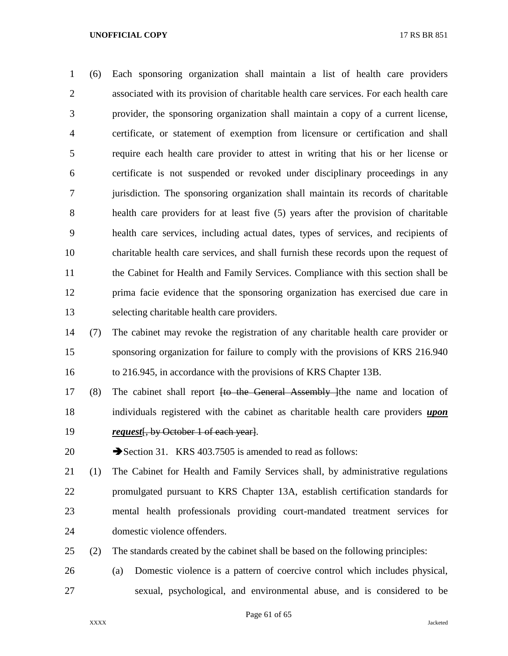(6) Each sponsoring organization shall maintain a list of health care providers associated with its provision of charitable health care services. For each health care provider, the sponsoring organization shall maintain a copy of a current license, certificate, or statement of exemption from licensure or certification and shall require each health care provider to attest in writing that his or her license or certificate is not suspended or revoked under disciplinary proceedings in any jurisdiction. The sponsoring organization shall maintain its records of charitable health care providers for at least five (5) years after the provision of charitable health care services, including actual dates, types of services, and recipients of charitable health care services, and shall furnish these records upon the request of the Cabinet for Health and Family Services. Compliance with this section shall be prima facie evidence that the sponsoring organization has exercised due care in selecting charitable health care providers.

 (7) The cabinet may revoke the registration of any charitable health care provider or sponsoring organization for failure to comply with the provisions of KRS 216.940 to 216.945, in accordance with the provisions of KRS Chapter 13B.

17 (8) The cabinet shall report <del>[to the General Assembly ]</del>the name and location of individuals registered with the cabinet as charitable health care providers *upon request*[, by October 1 of each year].

20 Section 31. KRS 403.7505 is amended to read as follows:

 (1) The Cabinet for Health and Family Services shall, by administrative regulations promulgated pursuant to KRS Chapter 13A, establish certification standards for mental health professionals providing court-mandated treatment services for domestic violence offenders.

(2) The standards created by the cabinet shall be based on the following principles:

 (a) Domestic violence is a pattern of coercive control which includes physical, sexual, psychological, and environmental abuse, and is considered to be

Page 61 of 65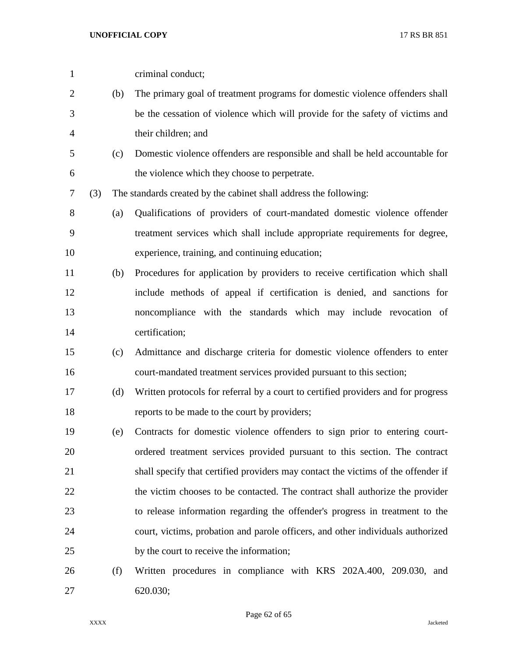| $\mathbf{1}$   |     |     | criminal conduct;                                                                 |
|----------------|-----|-----|-----------------------------------------------------------------------------------|
| $\overline{2}$ |     | (b) | The primary goal of treatment programs for domestic violence offenders shall      |
| 3              |     |     | be the cessation of violence which will provide for the safety of victims and     |
| $\overline{4}$ |     |     | their children; and                                                               |
| 5              |     | (c) | Domestic violence offenders are responsible and shall be held accountable for     |
| 6              |     |     | the violence which they choose to perpetrate.                                     |
| 7              | (3) |     | The standards created by the cabinet shall address the following:                 |
| $8\,$          |     | (a) | Qualifications of providers of court-mandated domestic violence offender          |
| 9              |     |     | treatment services which shall include appropriate requirements for degree,       |
| 10             |     |     | experience, training, and continuing education;                                   |
| 11             |     | (b) | Procedures for application by providers to receive certification which shall      |
| 12             |     |     | include methods of appeal if certification is denied, and sanctions for           |
| 13             |     |     | noncompliance with the standards which may include revocation of                  |
| 14             |     |     | certification;                                                                    |
| 15             |     | (c) | Admittance and discharge criteria for domestic violence offenders to enter        |
| 16             |     |     | court-mandated treatment services provided pursuant to this section;              |
| 17             |     | (d) | Written protocols for referral by a court to certified providers and for progress |
| 18             |     |     | reports to be made to the court by providers;                                     |
| 19             |     | (e) | Contracts for domestic violence offenders to sign prior to entering court-        |
| 20             |     |     | ordered treatment services provided pursuant to this section. The contract        |
| 21             |     |     | shall specify that certified providers may contact the victims of the offender if |
| 22             |     |     | the victim chooses to be contacted. The contract shall authorize the provider     |
| 23             |     |     | to release information regarding the offender's progress in treatment to the      |
| 24             |     |     | court, victims, probation and parole officers, and other individuals authorized   |
| 25             |     |     | by the court to receive the information;                                          |
| 26             |     | (f) | Written procedures in compliance with KRS 202A.400, 209.030, and                  |
| 27             |     |     | 620.030;                                                                          |

Page 62 of 65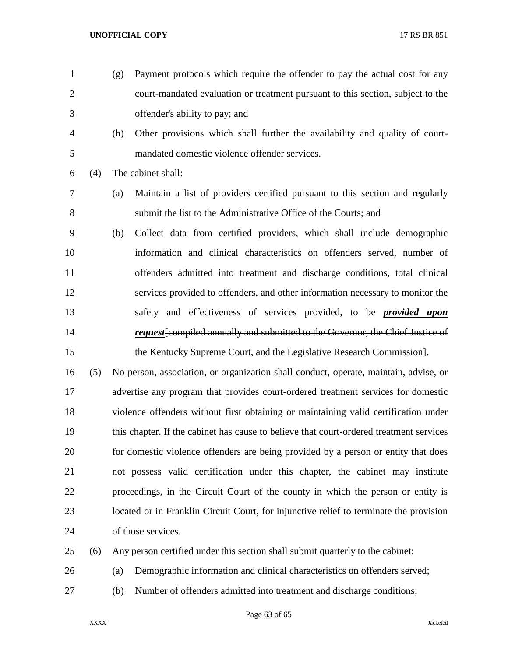- 
- (g) Payment protocols which require the offender to pay the actual cost for any court-mandated evaluation or treatment pursuant to this section, subject to the offender's ability to pay; and
	-

 (h) Other provisions which shall further the availability and quality of court-mandated domestic violence offender services.

(4) The cabinet shall:

- (a) Maintain a list of providers certified pursuant to this section and regularly submit the list to the Administrative Office of the Courts; and
- (b) Collect data from certified providers, which shall include demographic information and clinical characteristics on offenders served, number of offenders admitted into treatment and discharge conditions, total clinical services provided to offenders, and other information necessary to monitor the safety and effectiveness of services provided, to be *provided upon request*[compiled annually and submitted to the Governor, the Chief Justice of the Kentucky Supreme Court, and the Legislative Research Commission].

 (5) No person, association, or organization shall conduct, operate, maintain, advise, or advertise any program that provides court-ordered treatment services for domestic violence offenders without first obtaining or maintaining valid certification under this chapter. If the cabinet has cause to believe that court-ordered treatment services for domestic violence offenders are being provided by a person or entity that does not possess valid certification under this chapter, the cabinet may institute proceedings, in the Circuit Court of the county in which the person or entity is located or in Franklin Circuit Court, for injunctive relief to terminate the provision of those services.

(6) Any person certified under this section shall submit quarterly to the cabinet:

- (a) Demographic information and clinical characteristics on offenders served;
- (b) Number of offenders admitted into treatment and discharge conditions;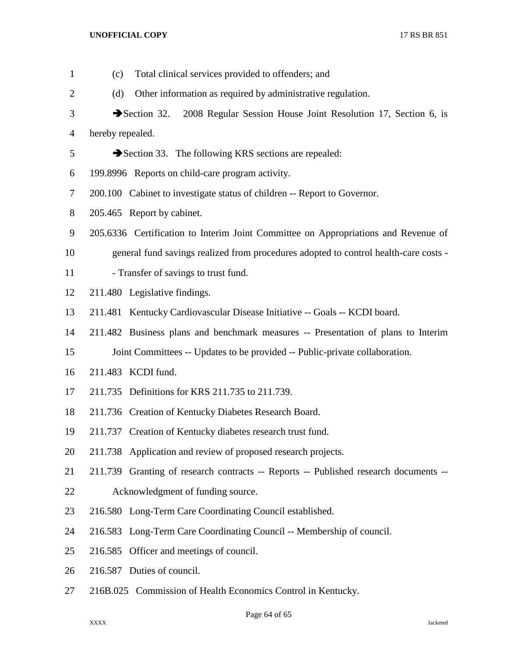| $\mathbf{1}$   | (c)              | Total clinical services provided to offenders; and                                                 |
|----------------|------------------|----------------------------------------------------------------------------------------------------|
| 2              | (d)              | Other information as required by administrative regulation.                                        |
| 3              |                  | $\blacktriangleright$ Section 32.<br>2008 Regular Session House Joint Resolution 17, Section 6, is |
| $\overline{4}$ | hereby repealed. |                                                                                                    |
| 5              |                  | Section 33. The following KRS sections are repealed:                                               |
| 6              |                  | 199.8996 Reports on child-care program activity.                                                   |
| 7              |                  | 200.100 Cabinet to investigate status of children -- Report to Governor.                           |
| 8              |                  | 205.465 Report by cabinet.                                                                         |
| 9              |                  | 205.6336 Certification to Interim Joint Committee on Appropriations and Revenue of                 |
| 10             |                  | general fund savings realized from procedures adopted to control health-care costs -               |
| 11             |                  | - Transfer of savings to trust fund.                                                               |
| 12             |                  | 211.480 Legislative findings.                                                                      |
| 13             |                  | 211.481 Kentucky Cardiovascular Disease Initiative -- Goals -- KCDI board.                         |
| 14             |                  | 211.482 Business plans and benchmark measures -- Presentation of plans to Interim                  |
| 15             |                  | Joint Committees -- Updates to be provided -- Public-private collaboration.                        |
| 16             |                  | 211.483 KCDI fund.                                                                                 |
| 17             |                  | 211.735 Definitions for KRS 211.735 to 211.739.                                                    |
| 18             |                  | 211.736 Creation of Kentucky Diabetes Research Board.                                              |
| 19             |                  | 211.737 Creation of Kentucky diabetes research trust fund.                                         |
| 20             |                  | 211.738 Application and review of proposed research projects.                                      |
| 21             |                  | 211.739 Granting of research contracts -- Reports -- Published research documents --               |
| 22             |                  | Acknowledgment of funding source.                                                                  |
| 23             |                  | 216.580 Long-Term Care Coordinating Council established.                                           |
| 24             |                  | 216.583 Long-Term Care Coordinating Council -- Membership of council.                              |
| 25             |                  | 216.585 Officer and meetings of council.                                                           |
| 26             |                  | 216.587 Duties of council.                                                                         |
| 27             |                  | 216B.025 Commission of Health Economics Control in Kentucky.                                       |